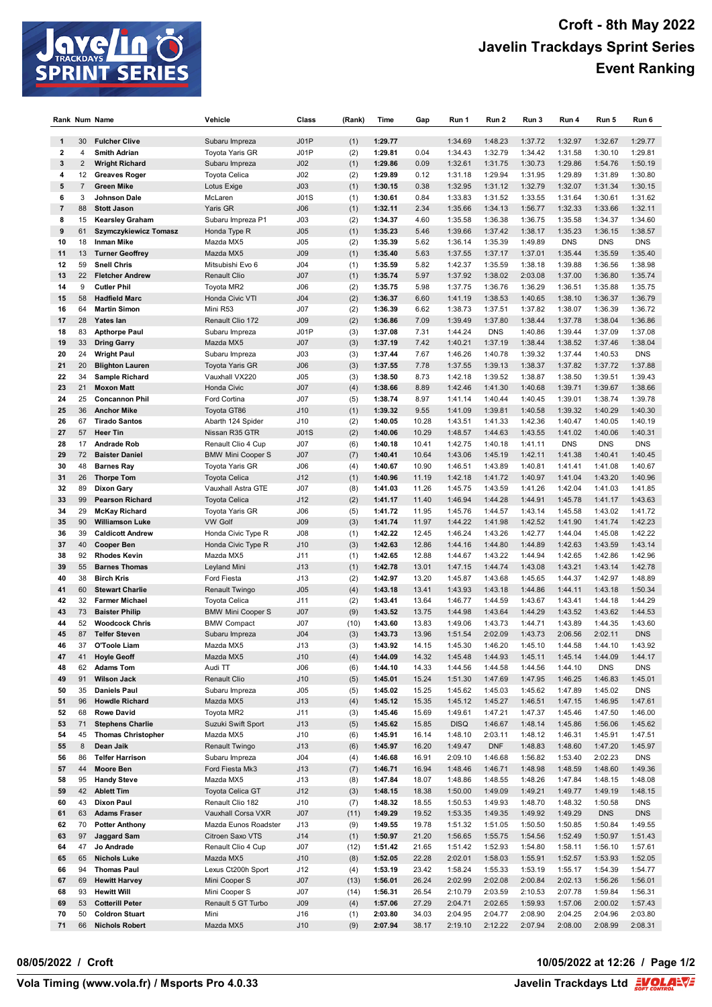

|                |                | Rank Num Name             | Vehicle                  | Class           | (Rank) | Time    | Gap   | Run 1       | Run 2      | Run 3   | Run 4      | Run 5      | Run 6      |
|----------------|----------------|---------------------------|--------------------------|-----------------|--------|---------|-------|-------------|------------|---------|------------|------------|------------|
|                |                |                           |                          |                 |        |         |       |             |            |         |            |            |            |
| 1              | 30             | <b>Fulcher Clive</b>      | Subaru Impreza           | J01P            | (1)    | 1:29.77 |       | 1:34.69     | 1:48.23    | 1:37.72 | 1:32.97    | 1:32.67    | 1:29.77    |
| $\mathbf 2$    | 4              | <b>Smith Adrian</b>       | Toyota Yaris GR          | J01P            | (2)    | 1:29.81 | 0.04  | 1:34.43     | 1:32.79    | 1:34.42 | 1:31.58    | 1:30.10    | 1:29.81    |
| 3              | $\overline{2}$ | <b>Wright Richard</b>     | Subaru Impreza           | J <sub>02</sub> | (1)    | 1:29.86 | 0.09  | 1:32.61     | 1:31.75    | 1:30.73 | 1:29.86    | 1:54.76    | 1:50.19    |
| 4              | 12             | <b>Greaves Roger</b>      | Toyota Celica            | J02             | (2)    | 1:29.89 | 0.12  | 1:31.18     | 1:29.94    | 1:31.95 | 1:29.89    | 1:31.89    | 1:30.80    |
| 5              | $\overline{7}$ | <b>Green Mike</b>         | Lotus Exige              | J03             | (1)    | 1:30.15 | 0.38  | 1:32.95     | 1:31.12    | 1:32.79 | 1:32.07    | 1:31.34    | 1:30.15    |
| 6              | 3              | Johnson Dale              | McLaren                  | J01S            | (1)    | 1:30.61 | 0.84  | 1:33.83     | 1:31.52    | 1:33.55 | 1:31.64    | 1:30.61    | 1:31.62    |
| $\overline{7}$ | 88             | <b>Stott Jason</b>        | Yaris GR                 | J06             | (1)    | 1:32.11 | 2.34  | 1:35.66     | 1:34.13    | 1:56.77 | 1:32.33    | 1:33.66    | 1:32.11    |
| 8              | 15             | <b>Kearsley Graham</b>    | Subaru Impreza P1        | J03             | (2)    | 1:34.37 | 4.60  | 1:35.58     | 1:36.38    | 1:36.75 | 1:35.58    | 1:34.37    | 1:34.60    |
| 9              | 61             | Szymczykiewicz Tomasz     | Honda Type R             | J05             | (1)    | 1:35.23 | 5.46  | 1:39.66     | 1:37.42    | 1:38.17 | 1:35.23    | 1:36.15    | 1:38.57    |
| 10             | 18             | <b>Inman Mike</b>         | Mazda MX5                | J05             | (2)    | 1:35.39 | 5.62  | 1:36.14     | 1:35.39    | 1:49.89 | <b>DNS</b> | <b>DNS</b> | <b>DNS</b> |
| 11             | 13             | <b>Turner Geoffrey</b>    | Mazda MX5                | <b>J09</b>      | (1)    | 1:35.40 | 5.63  | 1:37.55     | 1:37.17    | 1:37.01 | 1:35.44    | 1:35.59    | 1:35.40    |
| 12             | 59             | <b>Snell Chris</b>        | Mitsubishi Evo 6         | J <sub>04</sub> | (1)    | 1:35.59 | 5.82  | 1:42.37     | 1:35.59    | 1:38.18 | 1:39.88    | 1:36.56    | 1:38.98    |
| 13             | 22             | <b>Fletcher Andrew</b>    | <b>Renault Clio</b>      | J <sub>07</sub> | (1)    | 1:35.74 | 5.97  | 1:37.92     | 1:38.02    | 2:03.08 | 1:37.00    | 1:36.80    | 1:35.74    |
| 14             | 9              | <b>Cutler Phil</b>        | Toyota MR2               | J06             | (2)    | 1:35.75 | 5.98  | 1:37.75     | 1:36.76    | 1:36.29 | 1:36.51    | 1:35.88    | 1:35.75    |
| 15             | 58             | <b>Hadfield Marc</b>      | Honda Civic VTI          | J <sub>04</sub> | (2)    | 1:36.37 | 6.60  | 1:41.19     | 1:38.53    | 1:40.65 | 1:38.10    | 1:36.37    | 1:36.79    |
| 16             | 64             | <b>Martin Simon</b>       | Mini R53                 | J07             | (2)    | 1:36.39 | 6.62  | 1:38.73     | 1:37.51    | 1:37.82 | 1:38.07    | 1:36.39    | 1:36.72    |
| 17             | 28             | Yates lan                 | Renault Clio 172         | <b>J09</b>      | (2)    | 1:36.86 | 7.09  | 1:39.49     | 1:37.80    | 1:38.44 | 1:37.78    | 1:38.04    | 1:36.86    |
| 18             | 83             | <b>Apthorpe Paul</b>      | Subaru Impreza           | J01P            | (3)    | 1:37.08 | 7.31  | 1:44.24     | <b>DNS</b> | 1:40.86 | 1:39.44    | 1:37.09    | 1:37.08    |
| 19             | 33             | <b>Dring Garry</b>        | Mazda MX5                | J <sub>07</sub> | (3)    | 1:37.19 | 7.42  | 1:40.21     | 1:37.19    | 1:38.44 | 1:38.52    | 1:37.46    | 1:38.04    |
| 20             | 24             | <b>Wright Paul</b>        | Subaru Impreza           | J03             | (3)    | 1:37.44 | 7.67  | 1:46.26     | 1:40.78    | 1:39.32 | 1:37.44    | 1:40.53    | <b>DNS</b> |
| 21             | 20             | <b>Blighton Lauren</b>    | <b>Toyota Yaris GR</b>   | J06             | (3)    | 1:37.55 | 7.78  | 1:37.55     | 1:39.13    | 1:38.37 | 1:37.82    | 1:37.72    | 1:37.88    |
| 22             | 34             | Sample Richard            | Vauxhall VX220           | J05             | (3)    | 1:38.50 | 8.73  | 1:42.18     | 1:39.52    | 1:38.87 | 1:38.50    | 1:39.51    | 1:39.43    |
| 23             | 21             | <b>Moxon Matt</b>         | Honda Civic              | J <sub>07</sub> | (4)    | 1:38.66 | 8.89  | 1:42.46     | 1:41.30    | 1:40.68 | 1:39.71    | 1:39.67    | 1:38.66    |
| 24             | 25             | <b>Concannon Phil</b>     | Ford Cortina             | J07             | (5)    | 1:38.74 | 8.97  | 1:41.14     | 1:40.44    | 1:40.45 | 1:39.01    | 1:38.74    | 1:39.78    |
| 25             | 36             | <b>Anchor Mike</b>        | Toyota GT86              | J10             | (1)    | 1:39.32 | 9.55  | 1:41.09     | 1:39.81    | 1:40.58 | 1:39.32    | 1:40.29    | 1:40.30    |
| 26             | 67             | <b>Tirado Santos</b>      | Abarth 124 Spider        | J10             | (2)    | 1:40.05 | 10.28 | 1:43.51     | 1:41.33    | 1:42.36 | 1:40.47    | 1:40.05    | 1:40.19    |
| 27             | 57             | <b>Heer Tin</b>           | Nissan R35 GTR           | J01S            | (2)    | 1:40.06 | 10.29 | 1:48.57     | 1:44.63    | 1:43.55 | 1:41.02    | 1:40.06    | 1:40.31    |
| 28             | 17             | <b>Andrade Rob</b>        | Renault Clio 4 Cup       | J07             | (6)    | 1:40.18 | 10.41 | 1:42.75     | 1:40.18    | 1:41.11 | <b>DNS</b> | <b>DNS</b> | <b>DNS</b> |
| 29             | 72             | <b>Baister Daniel</b>     | <b>BMW Mini Cooper S</b> | J <sub>07</sub> | (7)    | 1:40.41 | 10.64 | 1:43.06     | 1:45.19    | 1:42.11 | 1:41.38    | 1:40.41    | 1:40.45    |
| 30             | 48             | <b>Barnes Ray</b>         | Toyota Yaris GR          | J06             | (4)    | 1:40.67 | 10.90 | 1:46.51     | 1:43.89    | 1:40.81 | 1:41.41    | 1:41.08    | 1:40.67    |
| 31             | 26             | <b>Thorpe Tom</b>         | <b>Toyota Celica</b>     | J12             | (1)    | 1:40.96 | 11.19 | 1:42.18     | 1:41.72    | 1:40.97 | 1:41.04    | 1:43.20    | 1:40.96    |
| 32             | 89             | <b>Dixon Gary</b>         | Vauxhall Astra GTE       | J07             | (8)    | 1:41.03 | 11.26 | 1:45.75     | 1:43.59    | 1:41.26 | 1:42.04    | 1:41.03    | 1:41.85    |
| 33             | 99             | <b>Pearson Richard</b>    | <b>Toyota Celica</b>     | J12             | (2)    | 1:41.17 | 11.40 | 1:46.94     | 1:44.28    | 1:44.91 | 1:45.78    | 1:41.17    | 1:43.63    |
| 34             | 29             | <b>McKay Richard</b>      | Toyota Yaris GR          | J06             | (5)    | 1:41.72 | 11.95 | 1:45.76     | 1:44.57    | 1:43.14 | 1:45.58    | 1:43.02    | 1:41.72    |
| 35             | 90             | <b>Williamson Luke</b>    | <b>VW Golf</b>           | J09             | (3)    | 1:41.74 | 11.97 | 1:44.22     | 1:41.98    | 1:42.52 | 1:41.90    | 1:41.74    | 1:42.23    |
| 36             | 39             | <b>Caldicott Andrew</b>   | Honda Civic Type R       | J08             | (1)    | 1:42.22 | 12.45 | 1:46.24     | 1:43.26    | 1:42.77 | 1:44.04    | 1:45.08    | 1:42.22    |
| 37             | 40             | <b>Cooper Ben</b>         | Honda Civic Type R       | J10             | (3)    | 1:42.63 | 12.86 | 1:44.16     | 1:44.80    | 1:44.89 | 1:42.63    | 1:43.59    | 1:43.14    |
| 38             | 92             | <b>Rhodes Kevin</b>       | Mazda MX5                | J11             | (1)    | 1:42.65 | 12.88 | 1:44.67     | 1:43.22    | 1:44.94 | 1:42.65    | 1:42.86    | 1:42.96    |
| 39             | 55             | <b>Barnes Thomas</b>      | Leyland Mini             | J13             | (1)    | 1:42.78 | 13.01 | 1:47.15     | 1:44.74    | 1:43.08 | 1:43.21    | 1:43.14    | 1:42.78    |
| 40             | 38             | <b>Birch Kris</b>         | Ford Fiesta              | J13             | (2)    | 1:42.97 | 13.20 | 1:45.87     | 1:43.68    | 1:45.65 | 1:44.37    | 1:42.97    | 1:48.89    |
| 41             | 60             | <b>Stewart Charlie</b>    | Renault Twingo           | J05             | (4)    | 1:43.18 | 13.41 | 1:43.93     | 1:43.18    | 1:44.86 | 1:44.11    | 1:43.18    | 1:50.34    |
| 42             | 32             | <b>Farmer Michael</b>     | <b>Toyota Celica</b>     | J11             | (2)    | 1:43.41 | 13.64 | 1:46.77     | 1:44.59    | 1:43.67 | 1:43.41    | 1:44.18    | 1:44.29    |
| 43             | 73             | <b>Baister Philip</b>     | <b>BMW Mini Cooper S</b> | J <sub>07</sub> | (9)    | 1:43.52 | 13.75 | 1:44.98     | 1:43.64    | 1:44.29 | 1:43.52    | 1:43.62    | 1:44.53    |
| 44             | 52             | <b>Woodcock Chris</b>     | <b>BMW Compact</b>       | J07             | (10)   | 1:43.60 | 13.83 | 1:49.06     | 1:43.73    | 1:44.71 | 1:43.89    | 1:44.35    | 1:43.60    |
| 45             | 87             | <b>Telfer Steven</b>      | Subaru Impreza           | J <sub>04</sub> | (3)    | 1:43.73 | 13.96 | 1:51.54     | 2:02.09    | 1:43.73 | 2:06.56    | 2:02.11    | <b>DNS</b> |
| 46             | 37             | O'Toole Liam              | Mazda MX5                | J13             | (3)    | 1:43.92 | 14.15 | 1:45.30     | 1:46.20    | 1:45.10 | 1:44.58    | 1:44.10    | 1:43.92    |
| 47             | 41             | <b>Hoyle Geoff</b>        | Mazda MX5                | J10             | (4)    | 1:44.09 | 14.32 | 1:45.48     | 1:44.93    | 1:45.11 | 1:45.14    | 1:44.09    | 1:44.17    |
| 48             | 62             | <b>Adams Tom</b>          | Audi TT                  | J06             | (6)    | 1:44.10 | 14.33 | 1:44.56     | 1:44.58    | 1:44.56 | 1:44.10    | <b>DNS</b> | <b>DNS</b> |
| 49             | 91             | <b>Wilson Jack</b>        | Renault Clio             | J10             | (5)    | 1:45.01 | 15.24 | 1:51.30     | 1:47.69    | 1:47.95 | 1:46.25    | 1:46.83    | 1:45.01    |
| 50             | 35             | <b>Daniels Paul</b>       | Subaru Impreza           | J05             | (5)    | 1:45.02 | 15.25 | 1:45.62     | 1:45.03    | 1:45.62 | 1:47.89    | 1:45.02    | <b>DNS</b> |
| 51             | 96             | <b>Howdle Richard</b>     | Mazda MX5                | J13             | (4)    | 1:45.12 | 15.35 | 1:45.12     | 1:45.27    | 1:46.51 | 1:47.15    | 1:46.95    | 1:47.61    |
| 52             | 68             | <b>Rowe David</b>         | Toyota MR2               | J11             | (3)    | 1:45.46 | 15.69 | 1:49.61     | 1:47.21    | 1:47.37 | 1:45.46    | 1:47.50    | 1:46.00    |
| 53             | 71             | <b>Stephens Charlie</b>   | Suzuki Swift Sport       | J13             | (5)    | 1:45.62 | 15.85 | <b>DISQ</b> | 1:46.67    | 1:48.14 | 1:45.86    | 1:56.06    | 1:45.62    |
| 54             | 45             | <b>Thomas Christopher</b> | Mazda MX5                | J10             | (6)    | 1:45.91 | 16.14 | 1:48.10     | 2:03.11    | 1:48.12 | 1:46.31    | 1:45.91    | 1:47.51    |
| 55             | 8              | Dean Jaik                 | Renault Twingo           | J13             | (6)    | 1:45.97 | 16.20 | 1:49.47     | <b>DNF</b> | 1:48.83 | 1:48.60    | 1:47.20    | 1:45.97    |
| 56             | 86             | <b>Telfer Harrison</b>    | Subaru Impreza           | J <sub>04</sub> | (4)    | 1:46.68 | 16.91 | 2:09.10     | 1:46.68    | 1:56.82 | 1:53.40    | 2:02.23    | <b>DNS</b> |
| 57             | 44             | Moore Ben                 | Ford Fiesta Mk3          | J13             | (7)    | 1:46.71 | 16.94 | 1:48.46     | 1:46.71    | 1:48.98 | 1:48.59    | 1:48.60    | 1:49.36    |
| 58             | 95             | <b>Handy Steve</b>        | Mazda MX5                | J13             | (8)    | 1:47.84 | 18.07 | 1:48.86     | 1:48.55    | 1:48.26 | 1:47.84    | 1:48.15    | 1:48.08    |
| 59             | 42             | <b>Ablett Tim</b>         | Toyota Celica GT         | J12             | (3)    | 1:48.15 | 18.38 | 1:50.00     | 1:49.09    | 1:49.21 | 1:49.77    | 1:49.19    | 1:48.15    |
| 60             | 43             | <b>Dixon Paul</b>         | Renault Clio 182         | J10             | (7)    | 1:48.32 | 18.55 | 1:50.53     | 1:49.93    | 1:48.70 | 1:48.32    | 1:50.58    | <b>DNS</b> |
| 61             | 63             | <b>Adams Fraser</b>       | Vauxhall Corsa VXR       | J07             | (11)   | 1:49.29 | 19.52 | 1:53.35     | 1:49.35    | 1:49.92 | 1:49.29    | <b>DNS</b> | <b>DNS</b> |
| 62             | 70             | <b>Potter Anthony</b>     | Mazda Eunos Roadster     | J13             | (9)    | 1:49.55 | 19.78 | 1:51.32     | 1:51.05    | 1:50.50 | 1:50.85    | 1:50.84    | 1:49.55    |
| 63             | 97             | <b>Jaggard Sam</b>        | Citroen Saxo VTS         | J14             | (1)    | 1:50.97 | 21.20 | 1:56.65     | 1:55.75    | 1:54.56 | 1:52.49    | 1:50.97    | 1:51.43    |
| 64             | 47             | Jo Andrade                | Renault Clio 4 Cup       | J07             | (12)   | 1:51.42 | 21.65 | 1:51.42     | 1:52.93    | 1:54.80 | 1:58.11    | 1:56.10    | 1:57.61    |
| 65             | 65             | <b>Nichols Luke</b>       | Mazda MX5                | J10             | (8)    | 1:52.05 | 22.28 | 2:02.01     | 1:58.03    | 1:55.91 | 1:52.57    | 1:53.93    | 1:52.05    |
| 66             | 94             | <b>Thomas Paul</b>        | Lexus Ct200h Sport       | J12             | (4)    | 1:53.19 | 23.42 | 1:58.24     | 1:55.33    | 1:53.19 | 1:55.17    | 1:54.39    | 1:54.77    |
| 67             | 69             | <b>Hewitt Harvey</b>      | Mini Cooper S            | J07             | (13)   | 1:56.01 | 26.24 | 2:02.99     | 2:02.08    | 2:00.84 | 2:02.13    | 1:56.26    | 1:56.01    |
| 68             | 93             | <b>Hewitt Will</b>        | Mini Cooper S            | J07             | (14)   | 1:56.31 | 26.54 | 2:10.79     | 2:03.59    | 2:10.53 | 2:07.78    | 1:59.84    | 1:56.31    |
| 69             | 53             | <b>Cotterill Peter</b>    | Renault 5 GT Turbo       | J09             | (4)    | 1:57.06 | 27.29 | 2:04.71     | 2:02.65    | 1:59.93 | 1:57.06    | 2:00.02    | 1:57.43    |
| 70             | 50             | <b>Coldron Stuart</b>     | Mini                     | J16             | (1)    | 2:03.80 | 34.03 | 2:04.95     | 2:04.77    | 2:08.90 | 2:04.25    | 2:04.96    | 2:03.80    |
| 71             | 66             | <b>Nichols Robert</b>     | Mazda MX5                | J10             | (9)    | 2:07.94 | 38.17 | 2:19.10     | 2:12.22    | 2:07.94 | 2:08.00    | 2:08.99    | 2:08.31    |

#### **08/05/2022 / Croft 10/05/2022 at 12:26 / Page 1/2**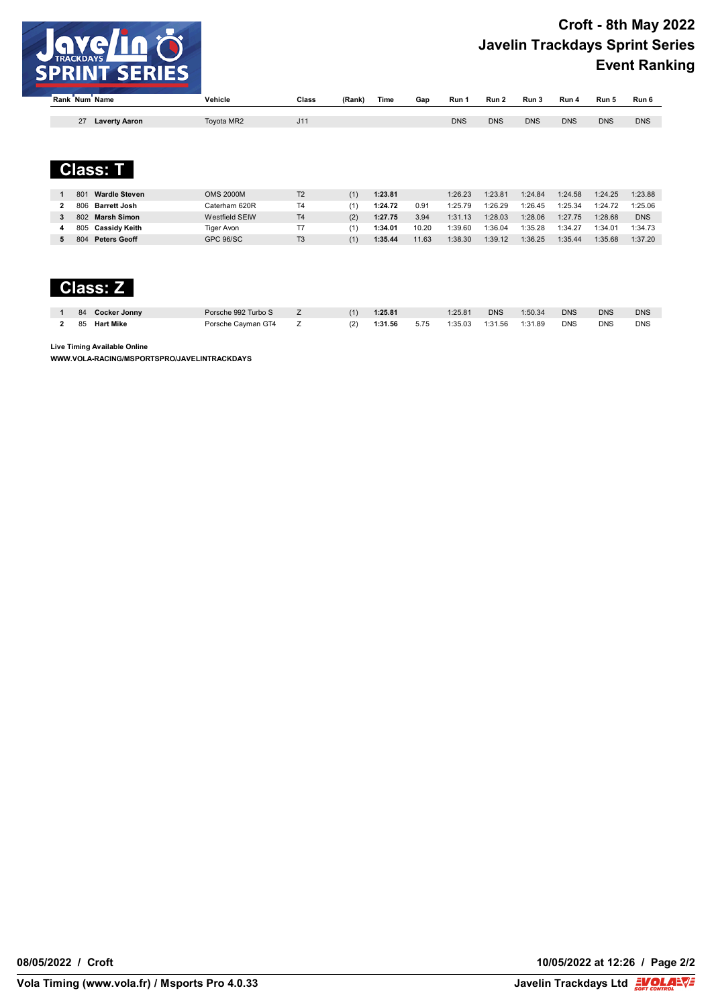

| ์ Rank ์ Num ์ |                      | <b>Name</b>          | Vehicle    | Class | (Rank) | Time | Gap | Run 1      | Run 2      | Run 3      | Run 4      | Run 5      | Run 6      |
|----------------|----------------------|----------------------|------------|-------|--------|------|-----|------------|------------|------------|------------|------------|------------|
|                |                      |                      |            |       |        |      |     |            |            |            |            |            |            |
|                | $\sim$<br>$\epsilon$ | <b>Laverty Aaron</b> | Toyota MR2 | J11   |        |      |     | <b>DNS</b> | <b>DNS</b> | <b>DNS</b> | <b>DNS</b> | <b>DNS</b> | <b>DNS</b> |



| <b>Wardle Steven</b><br>801 | <b>OMS 2000M</b> | T <sub>2</sub> |     | 1:23.81 |       | 1:26.23 | 1:23.81 | 1:24.84 | 1:24.58 | 1:24.25 | 1:23.88    |
|-----------------------------|------------------|----------------|-----|---------|-------|---------|---------|---------|---------|---------|------------|
| <b>Barrett Josh</b><br>806  | Caterham 620R    | T4             |     | 1:24.72 | 0.91  | 1:25.79 | 1:26.29 | 1:26.45 | 1:25.34 | 1:24.72 | 1:25.06    |
| Marsh Simon<br>802          | Westfield SEIW   | T <sub>4</sub> | (2) | 1:27.75 | 3.94  | 1:31.13 | 1:28.03 | 1:28.06 | 1:27.75 | 1:28.68 | <b>DNS</b> |
| Cassidv Keith<br>805        | Tiger Avon       |                |     | 1:34.01 | 10.20 | 1:39.60 | 1:36.04 | 1:35.28 | 1:34.27 | 1:34.01 | 1:34.73    |
| <b>Peters Geoff</b><br>804  | GPC 96/SC        | T <sub>3</sub> |     | 1:35.44 | 11.63 | 1:38.30 | 1:39.12 | 1:36.25 | 1:35.44 | 1:35.68 | 1:37.20    |

# **Class: Z**

| 84 | <b>Cocker Jonny</b> | Porsche 992 Turbo S |  | 1:25.81 |      | 1:25.81 | <b>DNS</b> | 1:50.34 | <b>DNS</b> | <b>DNS</b> | <b>DNS</b> |
|----|---------------------|---------------------|--|---------|------|---------|------------|---------|------------|------------|------------|
| 85 | <b>Hart Mike</b>    | Porsche Cayman GT4  |  | 1:31.56 | 5.75 | 1:35.03 | 1:31.56    | 1:31.89 | <b>DNS</b> | <b>DNS</b> | <b>DNS</b> |

**Live Timing Available Online**

**WWW.VOLA-RACING/MSPORTSPRO/JAVELINTRACKDAYS**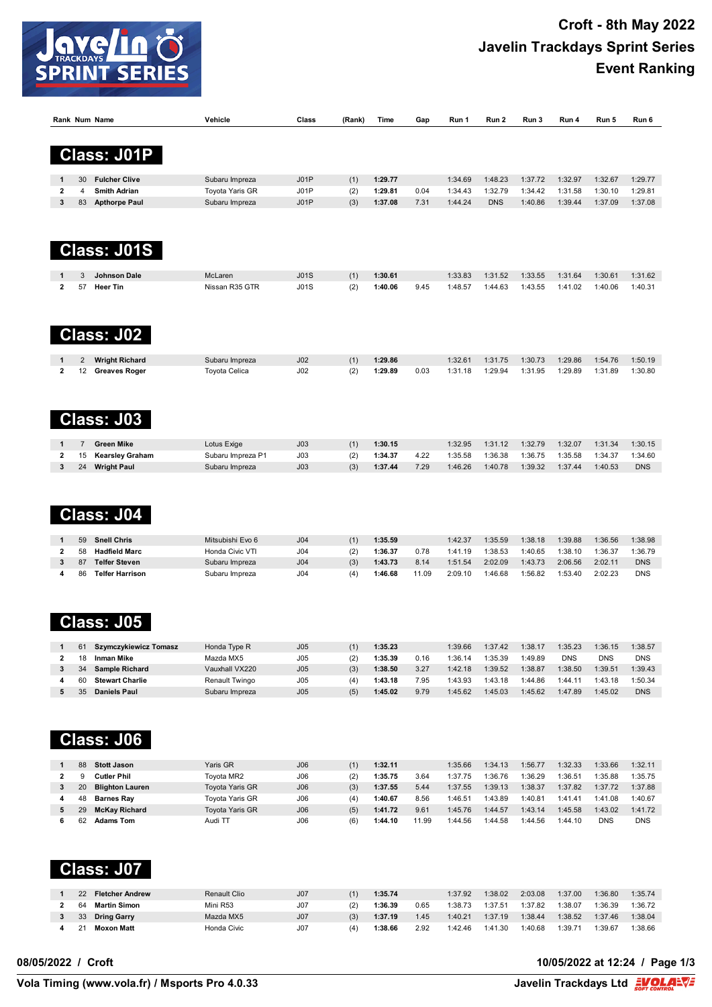

|                         |    | Rank Num Name          | Vehicle           | Class           | (Rank) | Time    | Gap   | Run 1   | Run 2      | Run 3   | Run 4      | Run 5      | Run 6      |
|-------------------------|----|------------------------|-------------------|-----------------|--------|---------|-------|---------|------------|---------|------------|------------|------------|
|                         |    |                        |                   |                 |        |         |       |         |            |         |            |            |            |
|                         |    |                        |                   |                 |        |         |       |         |            |         |            |            |            |
|                         |    | <b>Class: J01P</b>     |                   |                 |        |         |       |         |            |         |            |            |            |
|                         |    |                        |                   |                 |        |         |       |         |            |         |            |            |            |
| 1                       | 30 | <b>Fulcher Clive</b>   | Subaru Impreza    | J01P            | (1)    | 1:29.77 |       | 1:34.69 | 1:48.23    | 1:37.72 | 1:32.97    | 1:32.67    | 1:29.77    |
| 2                       | 4  | <b>Smith Adrian</b>    | Toyota Yaris GR   | J01P            | (2)    | 1:29.81 | 0.04  | 1:34.43 | 1:32.79    | 1:34.42 | 1:31.58    | 1:30.10    | 1:29.81    |
| 3                       | 83 | <b>Apthorpe Paul</b>   | Subaru Impreza    | J01P            | (3)    | 1:37.08 | 7.31  | 1:44.24 | <b>DNS</b> | 1:40.86 | 1:39.44    | 1:37.09    | 1:37.08    |
|                         |    |                        |                   |                 |        |         |       |         |            |         |            |            |            |
|                         |    |                        |                   |                 |        |         |       |         |            |         |            |            |            |
|                         |    |                        |                   |                 |        |         |       |         |            |         |            |            |            |
|                         |    | <b>Class: J01S</b>     |                   |                 |        |         |       |         |            |         |            |            |            |
|                         |    |                        |                   |                 |        |         |       |         |            |         |            |            |            |
|                         | 3  | <b>Johnson Dale</b>    | McLaren           | J01S            | (1)    | 1:30.61 |       | 1:33.83 | 1:31.52    | 1:33.55 | 1:31.64    | 1:30.61    | 1:31.62    |
| 2                       | 57 | <b>Heer Tin</b>        | Nissan R35 GTR    | J01S            | (2)    | 1:40.06 | 9.45  | 1:48.57 | 1:44.63    | 1:43.55 | 1:41.02    | 1:40.06    | 1:40.31    |
|                         |    |                        |                   |                 |        |         |       |         |            |         |            |            |            |
|                         |    |                        |                   |                 |        |         |       |         |            |         |            |            |            |
|                         |    |                        |                   |                 |        |         |       |         |            |         |            |            |            |
|                         |    | <b>Class: J02</b>      |                   |                 |        |         |       |         |            |         |            |            |            |
|                         |    |                        |                   |                 |        |         |       |         |            |         |            |            |            |
|                         | 2  | <b>Wright Richard</b>  | Subaru Impreza    | J <sub>02</sub> | (1)    | 1:29.86 |       | 1:32.61 | 1:31.75    | 1:30.73 | 1:29.86    | 1:54.76    | 1:50.19    |
| $\mathbf 2$             | 12 | <b>Greaves Roger</b>   | Toyota Celica     | J02             | (2)    | 1:29.89 | 0.03  | 1:31.18 | 1:29.94    | 1:31.95 | 1:29.89    | 1:31.89    | 1:30.80    |
|                         |    |                        |                   |                 |        |         |       |         |            |         |            |            |            |
|                         |    |                        |                   |                 |        |         |       |         |            |         |            |            |            |
|                         |    |                        |                   |                 |        |         |       |         |            |         |            |            |            |
|                         |    | <b>Class: J03</b>      |                   |                 |        |         |       |         |            |         |            |            |            |
|                         |    |                        |                   |                 |        |         |       |         |            |         |            |            |            |
| 1                       | 7  | <b>Green Mike</b>      | Lotus Exige       | J <sub>03</sub> | (1)    | 1:30.15 |       | 1:32.95 | 1:31.12    | 1:32.79 | 1:32.07    | 1:31.34    | 1:30.15    |
| $\mathbf 2$             | 15 | <b>Kearsley Graham</b> | Subaru Impreza P1 | J03             | (2)    | 1:34.37 | 4.22  | 1:35.58 | 1:36.38    | 1:36.75 | 1:35.58    | 1:34.37    | 1:34.60    |
| 3                       | 24 | <b>Wright Paul</b>     | Subaru Impreza    | J <sub>03</sub> | (3)    | 1:37.44 | 7.29  | 1:46.26 | 1:40.78    | 1:39.32 | 1:37.44    | 1:40.53    | <b>DNS</b> |
|                         |    |                        |                   |                 |        |         |       |         |            |         |            |            |            |
|                         |    |                        |                   |                 |        |         |       |         |            |         |            |            |            |
|                         |    |                        |                   |                 |        |         |       |         |            |         |            |            |            |
|                         |    | Class: J04             |                   |                 |        |         |       |         |            |         |            |            |            |
|                         |    |                        |                   |                 |        |         |       |         |            |         |            |            |            |
| 1                       | 59 | <b>Snell Chris</b>     | Mitsubishi Evo 6  | J <sub>04</sub> | (1)    | 1:35.59 |       | 1:42.37 | 1:35.59    | 1:38.18 | 1:39.88    | 1:36.56    | 1:38.98    |
| 2                       | 58 | <b>Hadfield Marc</b>   | Honda Civic VTI   | J <sub>04</sub> | (2)    | 1:36.37 | 0.78  | 1:41.19 | 1:38.53    | 1:40.65 | 1:38.10    | 1:36.37    | 1:36.79    |
| 3                       | 87 | <b>Telfer Steven</b>   | Subaru Impreza    | J <sub>04</sub> | (3)    | 1:43.73 | 8.14  | 1:51.54 | 2:02.09    | 1:43.73 | 2:06.56    | 2:02.11    | <b>DNS</b> |
| 4                       | 86 | <b>Telfer Harrison</b> | Subaru Impreza    | J <sub>04</sub> | (4)    | 1:46.68 | 11.09 | 2:09.10 | 1:46.68    | 1:56.82 | 1:53.40    | 2:02.23    | <b>DNS</b> |
|                         |    |                        |                   |                 |        |         |       |         |            |         |            |            |            |
|                         |    |                        |                   |                 |        |         |       |         |            |         |            |            |            |
|                         |    |                        |                   |                 |        |         |       |         |            |         |            |            |            |
|                         |    | <b>Class: J05</b>      |                   |                 |        |         |       |         |            |         |            |            |            |
|                         |    |                        |                   |                 |        |         |       |         |            |         |            |            |            |
| 1                       | 61 | Szymczykiewicz Tomasz  | Honda Type R      | J05             | (1)    | 1:35.23 |       | 1:39.66 | 1:37.42    | 1:38.17 | 1:35.23    | 1:36.15    | 1:38.57    |
| $\overline{\mathbf{2}}$ | 18 | <b>Inman Mike</b>      | Mazda MX5         | J05             | (2)    | 1:35.39 | 0.16  | 1:36.14 | 1:35.39    | 1:49.89 | <b>DNS</b> | <b>DNS</b> | <b>DNS</b> |
| 3                       | 34 | Sample Richard         | Vauxhall VX220    | J05             | (3)    | 1:38.50 | 3.27  | 1:42.18 | 1:39.52    | 1:38.87 | 1:38.50    | 1:39.51    | 1:39.43    |
| 4                       | 60 | <b>Stewart Charlie</b> | Renault Twingo    | J05             | (4)    | 1:43.18 | 7.95  | 1:43.93 | 1:43.18    | 1:44.86 | 1:44.11    | 1:43.18    | 1:50.34    |
| 5                       | 35 | <b>Daniels Paul</b>    | Subaru Impreza    | J05             | (5)    | 1:45.02 | 9.79  | 1:45.62 | 1:45.03    | 1:45.62 | 1:47.89    | 1:45.02    | <b>DNS</b> |
|                         |    |                        |                   |                 |        |         |       |         |            |         |            |            |            |
|                         |    |                        |                   |                 |        |         |       |         |            |         |            |            |            |
|                         |    |                        |                   |                 |        |         |       |         |            |         |            |            |            |
|                         |    | <b>Class: J06</b>      |                   |                 |        |         |       |         |            |         |            |            |            |
|                         |    |                        |                   |                 |        |         |       |         |            |         |            |            |            |
| 1                       | 88 | <b>Stott Jason</b>     | Yaris GR          | J06             | (1)    | 1:32.11 |       | 1:35.66 | 1:34.13    | 1:56.77 | 1:32.33    | 1:33.66    | 1:32.11    |
| $\mathbf{2}$            | 9  | <b>Cutler Phil</b>     | Toyota MR2        | J06             | (2)    | 1:35.75 | 3.64  | 1:37.75 | 1:36.76    | 1:36.29 | 1:36.51    | 1:35.88    | 1:35.75    |
| 3                       | 20 | <b>Blighton Lauren</b> | Toyota Yaris GR   | J06             | (3)    | 1:37.55 | 5.44  | 1:37.55 | 1:39.13    | 1:38.37 | 1:37.82    | 1:37.72    | 1:37.88    |
| 4                       | 48 | <b>Barnes Ray</b>      | Toyota Yaris GR   | J06             | (4)    | 1:40.67 | 8.56  | 1:46.51 | 1:43.89    | 1:40.81 | 1:41.41    | 1:41.08    | 1:40.67    |
| 5                       | 29 | <b>McKay Richard</b>   | Toyota Yaris GR   | J06             | (5)    | 1:41.72 | 9.61  | 1:45.76 | 1:44.57    | 1:43.14 | 1:45.58    | 1:43.02    | 1:41.72    |

#### **Class: J07**

| <b>Fletcher Andrew</b><br>22 | Renault Clio | J <sub>07</sub> |     | 1:35.74 |      | 1:37.92 | 1:38.02 | 2:03.08 | 1:37.00 | 1:36.80 | 1:35.74 |
|------------------------------|--------------|-----------------|-----|---------|------|---------|---------|---------|---------|---------|---------|
| Martin Simon<br>64           | Mini R53     | J07             | (2  | 1:36.39 | 0.65 | 1:38.73 | 1:37.51 | :37.82  | 1:38.07 | 1:36.39 | 1:36.72 |
| <b>Dring Garry</b><br>33     | Mazda MX5    | J <sub>07</sub> | (3) | 1:37.19 | .45  | 1:40.21 | 1:37.19 | 1:38.44 | 1:38.52 | 1:37.46 | 1:38.04 |
| <b>Moxon Matt</b><br>21      | Honda Civic  | J07             |     | 1:38.66 | 2.92 | 1:42.46 | 1:41.30 | :40.68  | 1:39.71 | :39.67  | 1:38.66 |

62 **Adams Tom** Audi TT J06 (6) **1:44.10** 11.99 1:44.56 1:44.58 1:44.56 1:44.10 DNS DNS

#### **08/05/2022 / Croft 10/05/2022 at 12:24 / Page 1/3**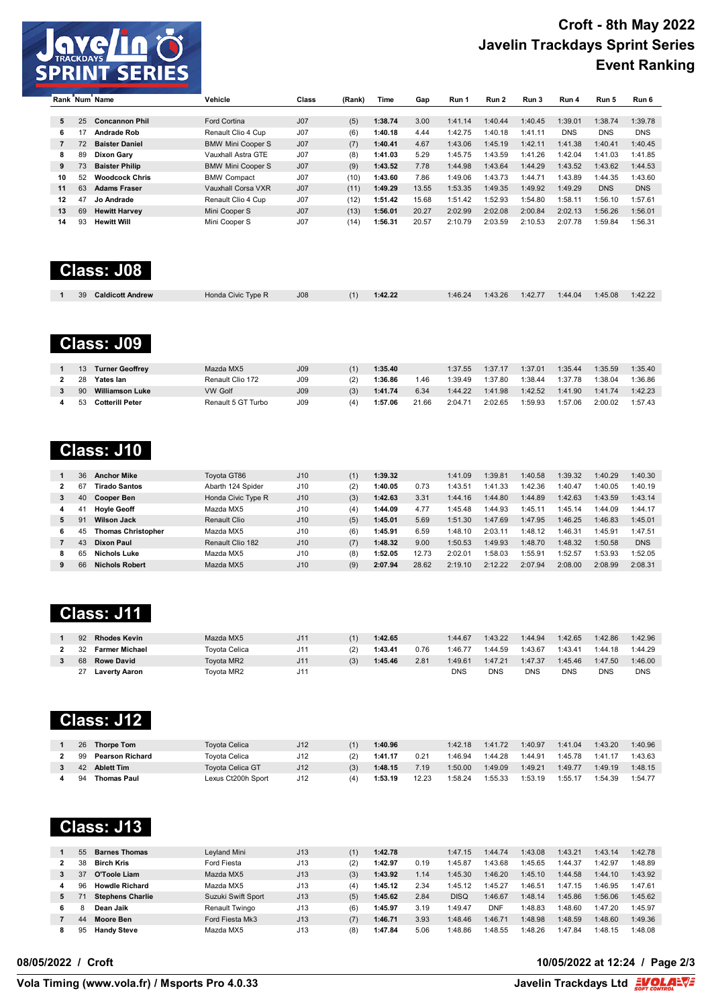

|    |    | Rank Num Name         | Vehicle                  | Class           | (Rank) | Time    | Gap   | Run 1   | Run 2   | Run 3   | Run 4      | Run 5      | Run 6      |
|----|----|-----------------------|--------------------------|-----------------|--------|---------|-------|---------|---------|---------|------------|------------|------------|
|    |    |                       |                          |                 |        |         |       |         |         |         |            |            |            |
| 5  | 25 | <b>Concannon Phil</b> | Ford Cortina             | J <sub>07</sub> | (5)    | 1:38.74 | 3.00  | 1:41.14 | 1:40.44 | 1:40.45 | 1:39.01    | 1:38.74    | 1:39.78    |
| 6  | 17 | <b>Andrade Rob</b>    | Renault Clio 4 Cup       | J <sub>07</sub> | (6)    | 1:40.18 | 4.44  | 1:42.75 | 1:40.18 | 1:41.11 | <b>DNS</b> | <b>DNS</b> | <b>DNS</b> |
|    | 72 | <b>Baister Daniel</b> | <b>BMW Mini Cooper S</b> | J <sub>07</sub> | (7)    | 1:40.41 | 4.67  | 1:43.06 | 1:45.19 | 1:42.11 | 1:41.38    | 1:40.41    | 1:40.45    |
| 8  | 89 | Dixon Gary            | Vauxhall Astra GTE       | J <sub>07</sub> | (8)    | 1:41.03 | 5.29  | 1:45.75 | 1:43.59 | 1:41.26 | 1:42.04    | 1:41.03    | 1:41.85    |
| 9  | 73 | <b>Baister Philip</b> | <b>BMW Mini Cooper S</b> | J <sub>07</sub> | (9)    | 1:43.52 | 7.78  | 1:44.98 | 1:43.64 | 1:44.29 | 1:43.52    | 1:43.62    | 1:44.53    |
| 10 | 52 | <b>Woodcock Chris</b> | <b>BMW Compact</b>       | J <sub>07</sub> | (10)   | 1:43.60 | 7.86  | 1:49.06 | 1:43.73 | 1:44.71 | 1:43.89    | 1:44.35    | 1:43.60    |
| 11 | 63 | <b>Adams Fraser</b>   | Vauxhall Corsa VXR       | J <sub>07</sub> | (11)   | 1:49.29 | 13.55 | 1:53.35 | 1:49.35 | 1:49.92 | 1:49.29    | <b>DNS</b> | <b>DNS</b> |
| 12 | 47 | Jo Andrade            | Renault Clio 4 Cup       | J <sub>07</sub> | (12)   | 1:51.42 | 15.68 | 1:51.42 | 1:52.93 | :54.80  | 1:58.11    | 1:56.10    | 1:57.61    |
| 13 | 69 | <b>Hewitt Harvey</b>  | Mini Cooper S            | J <sub>07</sub> | (13)   | 1:56.01 | 20.27 | 2:02.99 | 2:02.08 | 2:00.84 | 2:02.13    | 1:56.26    | 1:56.01    |
| 14 | 93 | <b>Hewitt Will</b>    | Mini Cooper S            | J <sub>07</sub> | (14)   | 1:56.31 | 20.57 | 2:10.79 | 2:03.59 | 2:10.53 | 2:07.78    | 1:59.84    | 1:56.31    |

# **Class: J08**

| 39<br><b>Caldicott Andrew</b> | Honda Civic Type R | J08 | (1)<br>1:42.22 | 1:46.24 | 1:43.26 | 1:42.77 | 1:44.04 | 1:45.08 | 1:42.22 |
|-------------------------------|--------------------|-----|----------------|---------|---------|---------|---------|---------|---------|

## **Class: J09**

|     | <b>Turner Geoffrey</b> | Mazda MX5          | J <sub>09</sub> |     | 1:35.40 |       | 1:37.55 | 1:37.17 | 1:37.01 | 1:35.44 | 1:35.59 | 1:35.40 |
|-----|------------------------|--------------------|-----------------|-----|---------|-------|---------|---------|---------|---------|---------|---------|
| 28  | Yates lan              | Renault Clio 172   | J09             |     | 1:36.86 | .46   | :39.49  | 1:37.80 | 1:38.44 | 1:37.78 | 1:38.04 | 1:36.86 |
| 90  | Williamson Luke        | VW Golf            | J <sub>09</sub> | (3) | 1:41.74 | 6.34  | 1:44.22 | 1:41.98 | 1:42.52 | 1:41.90 | 1:41.74 | 1:42.23 |
| -53 | <b>Cotterill Peter</b> | Renault 5 GT Turbo | J09             | (4  | 1:57.06 | 21.66 | 2:04.71 | 2:02.65 | 1:59.93 | 1:57.06 | 2:00.02 | 1:57.43 |

#### **Class: J10**

|   | 36 | <b>Anchor Mike</b>        | Tovota GT86        | J10 |     | 1:39.32 |       | 1:41.09 | 1:39.81 | 1:40.58 | 1:39.32 | 1:40.29 | 1:40.30    |
|---|----|---------------------------|--------------------|-----|-----|---------|-------|---------|---------|---------|---------|---------|------------|
|   | 67 | Tirado Santos             | Abarth 124 Spider  | J10 | (2) | 1:40.05 | 0.73  | 1:43.51 | 1:41.33 | 1:42.36 | 1:40.47 | 1:40.05 | 1:40.19    |
| 3 | 40 | <b>Cooper Ben</b>         | Honda Civic Type R | J10 | (3) | 1:42.63 | 3.31  | 1:44.16 | 1:44.80 | 1:44.89 | 1:42.63 | 1:43.59 | 1:43.14    |
| 4 | 4  | <b>Hovie Geoff</b>        | Mazda MX5          | J10 | (4) | 1:44.09 | 4.77  | 1:45.48 | 1:44.93 | 1:45.11 | 1:45.14 | 1:44.09 | 1:44.17    |
| 5 | 91 | <b>Wilson Jack</b>        | Renault Clio       | J10 | (5) | 1:45.01 | 5.69  | 1:51.30 | 1:47.69 | 1:47.95 | 1:46.25 | 1:46.83 | 1:45.01    |
|   | 45 | <b>Thomas Christopher</b> | Mazda MX5          | J10 | (6) | 1:45.91 | 6.59  | 1:48.10 | 2:03.11 | 1:48.12 | 1:46.31 | 1:45.91 | 1:47.51    |
|   | 43 | Dixon Paul                | Renault Clio 182   | J10 | (7) | 1:48.32 | 9.00  | 1:50.53 | 1:49.93 | 1:48.70 | 1:48.32 | 1:50.58 | <b>DNS</b> |
|   | 65 | Nichols Luke              | Mazda MX5          | J10 | (8) | 1:52.05 | 12.73 | 2:02.01 | 1:58.03 | :55.91  | 1:52.57 | 1:53.93 | 1:52.05    |
|   | 66 | <b>Nichols Robert</b>     | Mazda MX5          | J10 | (9) | 2:07.94 | 28.62 | 2:19.10 | 2:12.22 | 2:07.94 | 2:08.00 | 2:08.99 | 2:08.31    |

## **Class: J11**

| 92 | <b>Rhodes Kevin</b>  | Mazda MX5     | J1 <sup>1</sup> |     | 1:42.65 |      | 1:44.67 | 1:43.22 | 1:44.94 | 1:42.65    | 1:42.86 | 1:42.96    |
|----|----------------------|---------------|-----------------|-----|---------|------|---------|---------|---------|------------|---------|------------|
| 32 | Farmer Michael       | Tovota Celica | J1 <sup>4</sup> | (2) | 1:43.41 | 0.76 | 1:46.77 | 1:44.59 | 1:43.67 | 1:43.41    | 1:44.18 | 1:44.29    |
|    | 68 Rowe David        | Tovota MR2    | J11             | (3) | 1:45.46 | 2.81 | 1:49.61 | 1:47.21 | 1:47.37 | 1:45.46    | 1:47.50 | 1:46.00    |
|    | <b>Laverty Aaron</b> | Tovota MR2    | J1              |     |         |      | DNS     | DNS     | DNS     | <b>DNS</b> | DNS     | <b>DNS</b> |

## **Class: J12**

| 26 | <b>Thorpe Tom</b>      | Toyota Celica           | J12 |     | 1:40.96 |       | 1:42.18 | 1:41.72 | 1:40.97 | 1:41.04 | 1:43.20 | 1:40.96 |
|----|------------------------|-------------------------|-----|-----|---------|-------|---------|---------|---------|---------|---------|---------|
| 99 | <b>Pearson Richard</b> | Toyota Celica           | J12 |     | 1:41.17 | 0.21  | :46.94  | 1:44.28 | 1:44.91 | 1:45.78 | 1:41.17 | 1:43.63 |
| 42 | <b>Ablett Tim</b>      | <b>Tovota Celica GT</b> | J12 | (3) | 1:48.15 | 7.19  | 1:50.00 | 1:49.09 | 1:49.21 | 1:49.77 | 1:49.19 | 1:48.15 |
| 94 | <b>Thomas Paul</b>     | Lexus Ct200h Sport      | J12 |     | 1:53.19 | 12.23 | 1:58.24 | 1:55.33 | 1:53.19 | 1:55.17 | 1:54.39 | 1:54.77 |

# **Class: J13**

|    | 55 | <b>Barnes Thomas</b>    | Leyland Mini       | J13 | (1) | 1:42.78 |      | 1:47.15     | 1:44.74 | 1:43.08 | 1:43.21      | 1:43.14 | 1:42.78 |
|----|----|-------------------------|--------------------|-----|-----|---------|------|-------------|---------|---------|--------------|---------|---------|
|    | 38 | <b>Birch Kris</b>       | Ford Fiesta        | J13 | (2) | 1:42.97 | 0.19 | 1:45.87     | 1:43.68 | 1:45.65 | 1:44.37      | 1:42.97 | 1:48.89 |
|    | 37 | O'Toole Liam            | Mazda MX5          | J13 | (3) | 1:43.92 | .14  | 1:45.30     | 1:46.20 | 1:45.10 | 1:44.58      | 1:44.10 | 1:43.92 |
|    | 96 | <b>Howdle Richard</b>   | Mazda MX5          | J13 | (4) | 1:45.12 | 2.34 | 1:45.12     | 1:45.27 | 1:46.51 | 1:47.<br>.15 | 1:46.95 | 1:47.61 |
| 5. |    | <b>Stephens Charlie</b> | Suzuki Swift Sport | J13 | (5) | 1:45.62 | 2.84 | <b>DISQ</b> | 1:46.67 | 1:48.14 | 1:45.86      | 1:56.06 | 1:45.62 |
| 6  |    | Dean Jaik               | Renault Twingo     | J13 | (6) | 1:45.97 | 3.19 | 1:49.47     | DNF     | 1:48.83 | 1:48.60      | 1:47.20 | 1:45.97 |
|    | 44 | Moore Ben               | Ford Fiesta Mk3    | J13 | (7) | 1:46.71 | 3.93 | 1:48.46     | 1:46.71 | 1:48.98 | 1:48.59      | 1:48.60 | 1:49.36 |
|    | 95 | <b>Handy Steve</b>      | Mazda MX5          | J13 | (8) | 1:47.84 | 5.06 | 1:48.86     | 1:48.55 | 1:48.26 | 1:47.84      | 1:48.15 | 1:48.08 |

#### **08/05/2022 / Croft 10/05/2022 at 12:24 / Page 2/3**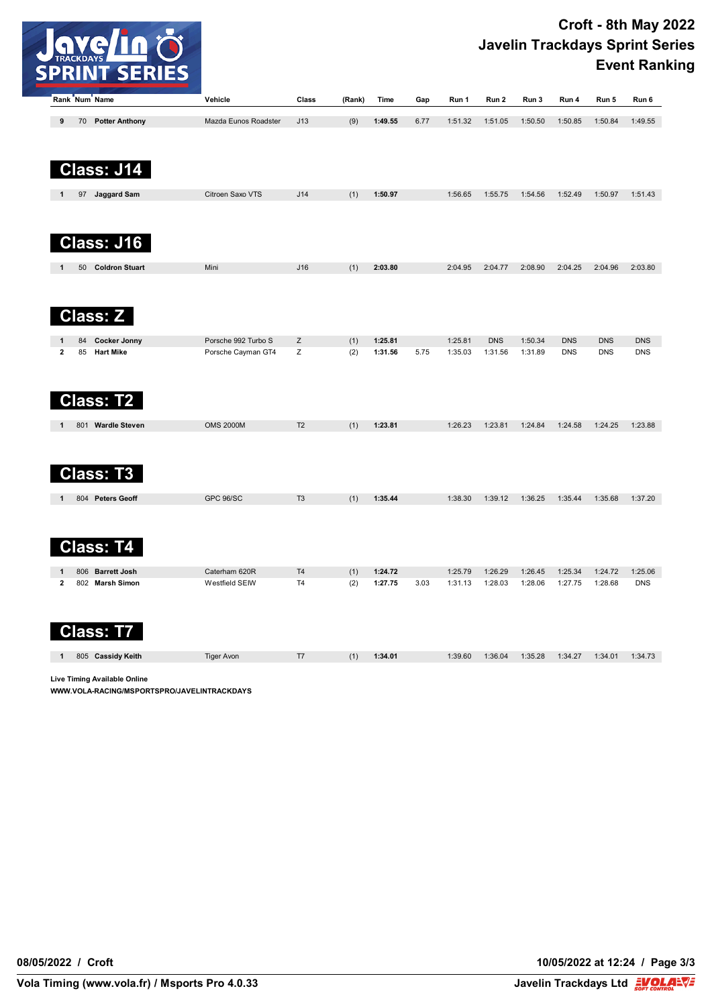

| Rank Num Name                                              | Vehicle                         | Class                            | (Rank) | Time    | Gap  | Run 1              | Run 2              | Run 3              | Run 4              | Run 5      | Run 6                 |
|------------------------------------------------------------|---------------------------------|----------------------------------|--------|---------|------|--------------------|--------------------|--------------------|--------------------|------------|-----------------------|
| 70 Potter Anthony<br>9                                     | Mazda Eunos Roadster            | J13                              | (9)    | 1:49.55 | 6.77 | 1:51.32            | 1:51.05            | 1:50.50            | 1:50.85            | 1:50.84    | 1:49.55               |
|                                                            |                                 |                                  |        |         |      |                    |                    |                    |                    |            |                       |
| <b>Class: J14</b>                                          |                                 |                                  |        |         |      |                    |                    |                    |                    |            |                       |
| 97 Jaggard Sam                                             | Citroen Saxo VTS                | J14                              | (1)    | 1:50.97 |      | 1:56.65            | 1:55.75            | 1:54.56            | 1:52.49            | 1:50.97    | 1:51.43               |
| <b>Class: J16</b>                                          |                                 |                                  |        |         |      |                    |                    |                    |                    |            |                       |
| 50 Coldron Stuart                                          | Mini                            | J16                              | (1)    | 2:03.80 |      | 2:04.95            | 2:04.77            | 2:08.90            | 2:04.25            | 2:04.96    | 2:03.80               |
| <b>Class: Z</b>                                            |                                 |                                  |        |         |      |                    |                    |                    |                    |            |                       |
| 84<br><b>Cocker Jonny</b>                                  | Porsche 992 Turbo S             | Z                                | (1)    | 1:25.81 |      | 1:25.81            | <b>DNS</b>         | 1:50.34            | <b>DNS</b>         | <b>DNS</b> | <b>DNS</b>            |
| $\mathbf{2}$<br>85<br><b>Hart Mike</b><br><b>Class: T2</b> | Porsche Cayman GT4              | z                                | (2)    | 1:31.56 | 5.75 | 1:35.03            | 1:31.56            | 1:31.89            | <b>DNS</b>         | <b>DNS</b> | <b>DNS</b>            |
| 801 Wardle Steven<br>1                                     | <b>OMS 2000M</b>                | T <sub>2</sub>                   | (1)    | 1:23.81 |      | 1:26.23            | 1:23.81            | 1:24.84            | 1:24.58            | 1:24.25    | 1:23.88               |
| Class: T3                                                  |                                 |                                  |        |         |      |                    |                    |                    |                    |            |                       |
| 804 Peters Geoff                                           | <b>GPC 96/SC</b>                | T <sub>3</sub>                   | (1)    | 1:35.44 |      | 1:38.30            | 1:39.12            | 1:36.25            | 1:35.44            | 1:35.68    | 1:37.20               |
| <b>Class: T4</b>                                           |                                 |                                  |        |         |      |                    |                    |                    |                    |            |                       |
| 806<br><b>Barrett Josh</b><br>1<br>$\mathbf{2}$            | Caterham 620R<br>Westfield SEIW | T <sub>4</sub><br>T <sub>4</sub> | (1)    | 1:24.72 | 3.03 | 1:25.79<br>1:31.13 | 1:26.29<br>1:28.03 | 1:26.45<br>1:28.06 | 1:25.34<br>1:27.75 | 1:24.72    | 1:25.06<br><b>DNS</b> |
| 802 Marsh Simon<br><b>Class: T7</b>                        |                                 |                                  | (2)    | 1:27.75 |      |                    |                    |                    |                    | 1:28.68    |                       |
| 805 Cassidy Keith                                          | <b>Tiger Avon</b>               | T7                               | (1)    | 1:34.01 |      | 1:39.60            | 1:36.04            | 1:35.28            | 1:34.27            | 1:34.01    | 1:34.73               |

**Live Timing Available Online**

**WWW.VOLA-RACING/MSPORTSPRO/JAVELINTRACKDAYS**

**08/05/2022 / Croft 10/05/2022 at 12:24 / Page 3/3**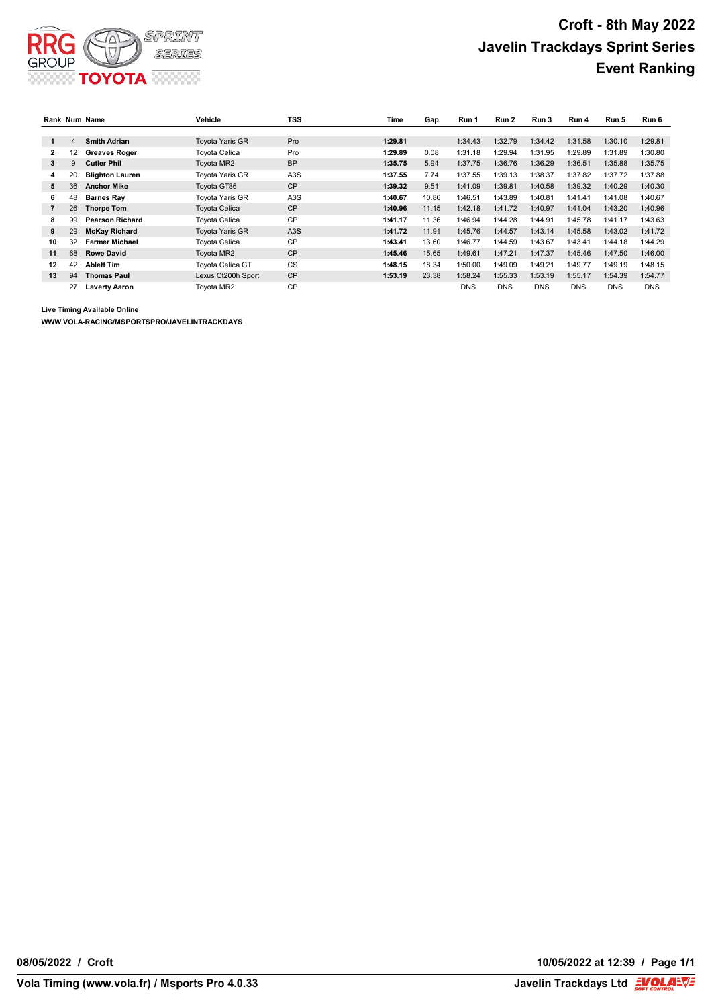

|                |    | Rank Num Name          | Vehicle                 | <b>TSS</b>       | Time    | Gap   | Run 1      | Run 2      | Run 3      | Run 4      | Run 5      | Run 6      |
|----------------|----|------------------------|-------------------------|------------------|---------|-------|------------|------------|------------|------------|------------|------------|
|                |    |                        |                         |                  |         |       |            |            |            |            |            |            |
| 1              | 4  | <b>Smith Adrian</b>    | <b>Tovota Yaris GR</b>  | Pro              | 1:29.81 |       | 1:34.43    | 1:32.79    | 1:34.42    | 1:31.58    | 1:30.10    | 1:29.81    |
| 2              | 12 | <b>Greaves Roger</b>   | Tovota Celica           | Pro              | 1:29.89 | 0.08  | 1:31.18    | 1:29.94    | 1:31.95    | 1:29.89    | 1:31.89    | 1:30.80    |
| 3              | 9  | <b>Cutler Phil</b>     | Toyota MR2              | <b>BP</b>        | 1:35.75 | 5.94  | 1:37.75    | 1:36.76    | 1:36.29    | 1:36.51    | 1:35.88    | 1:35.75    |
| 4              | 20 | <b>Blighton Lauren</b> | <b>Tovota Yaris GR</b>  | A <sub>3</sub> S | 1:37.55 | 7.74  | 1:37.55    | 1:39.13    | 1:38.37    | 1:37.82    | 1:37.72    | 1:37.88    |
| 5              | 36 | <b>Anchor Mike</b>     | Toyota GT86             | <b>CP</b>        | 1:39.32 | 9.51  | 1:41.09    | 1:39.81    | 1:40.58    | 1:39.32    | 1:40.29    | 1:40.30    |
| 6              | 48 | <b>Barnes Ray</b>      | Toyota Yaris GR         | A <sub>3</sub> S | 1:40.67 | 10.86 | 1:46.51    | 1:43.89    | 1:40.81    | 1:41.41    | 1:41.08    | 1:40.67    |
| $\overline{7}$ | 26 | <b>Thorpe Tom</b>      | <b>Toyota Celica</b>    | <b>CP</b>        | 1:40.96 | 11.15 | 1:42.18    | 1:41.72    | 1:40.97    | 1:41.04    | 1:43.20    | 1:40.96    |
| 8              | 99 | <b>Pearson Richard</b> | Toyota Celica           | <b>CP</b>        | 1:41.17 | 11.36 | 1:46.94    | 1:44.28    | 1:44.91    | 1:45.78    | 1:41.17    | 1:43.63    |
| 9              | 29 | <b>McKay Richard</b>   | <b>Tovota Yaris GR</b>  | A <sub>3</sub> S | 1:41.72 | 11.91 | 1:45.76    | 1:44.57    | 1:43.14    | 1:45.58    | 1:43.02    | 1:41.72    |
| 10             | 32 | <b>Farmer Michael</b>  | Tovota Celica           | CP               | 1:43.41 | 13.60 | 1:46.77    | 1:44.59    | 1:43.67    | 1:43.41    | 1:44.18    | 1:44.29    |
| 11             | 68 | <b>Rowe David</b>      | Toyota MR2              | <b>CP</b>        | 1:45.46 | 15.65 | 1:49.61    | 1:47.21    | 1:47.37    | 1:45.46    | 1:47.50    | 1:46.00    |
| 12             | 42 | <b>Ablett Tim</b>      | <b>Toyota Celica GT</b> | CS               | 1:48.15 | 18.34 | 1:50.00    | 1:49.09    | 1:49.21    | 1:49.77    | 1:49.19    | 1:48.15    |
| 13             | 94 | <b>Thomas Paul</b>     | Lexus Ct200h Sport      | <b>CP</b>        | 1:53.19 | 23.38 | 1:58.24    | 1:55.33    | 1:53.19    | 1:55.17    | 1:54.39    | 1:54.77    |
|                | 27 | <b>Laverty Aaron</b>   | Toyota MR2              | <b>CP</b>        |         |       | <b>DNS</b> | <b>DNS</b> | <b>DNS</b> | <b>DNS</b> | <b>DNS</b> | <b>DNS</b> |

**Live Timing Available Online**

**WWW.VOLA-RACING/MSPORTSPRO/JAVELINTRACKDAYS**

**08/05/2022 / Croft 10/05/2022 at 12:39 / Page 1/1**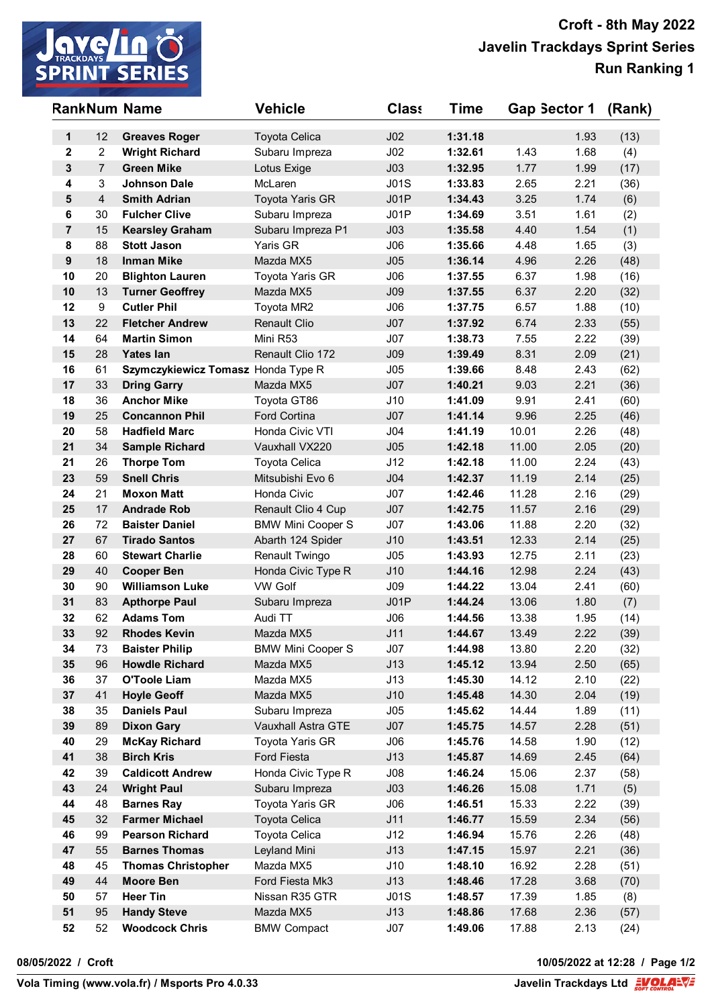

|                         |                | <b>RankNum Name</b>                     | <b>Vehicle</b>                        | <b>Class</b>    | Time               | Gap Sector 1   |              | (Rank)       |
|-------------------------|----------------|-----------------------------------------|---------------------------------------|-----------------|--------------------|----------------|--------------|--------------|
| 1                       | 12             | <b>Greaves Roger</b>                    | <b>Toyota Celica</b>                  | J <sub>02</sub> | 1:31.18            |                | 1.93         | (13)         |
| $\mathbf{2}$            | $\overline{2}$ | <b>Wright Richard</b>                   | Subaru Impreza                        | J <sub>02</sub> | 1:32.61            | 1.43           | 1.68         | (4)          |
| 3                       | $\overline{7}$ | <b>Green Mike</b>                       | Lotus Exige                           | J <sub>03</sub> | 1:32.95            | 1.77           | 1.99         | (17)         |
| $\overline{\mathbf{4}}$ | 3              | <b>Johnson Dale</b>                     | McLaren                               | J01S            | 1:33.83            | 2.65           | 2.21         | (36)         |
| 5                       | $\overline{4}$ | <b>Smith Adrian</b>                     | <b>Toyota Yaris GR</b>                | JO1P            | 1:34.43            | 3.25           | 1.74         | (6)          |
| $\bf 6$                 | 30             | <b>Fulcher Clive</b>                    | Subaru Impreza                        | J01P            | 1:34.69            | 3.51           | 1.61         | (2)          |
| $\overline{7}$          | 15             | <b>Kearsley Graham</b>                  | Subaru Impreza P1                     | J <sub>03</sub> | 1:35.58            | 4.40           | 1.54         | (1)          |
| 8                       | 88             | <b>Stott Jason</b>                      | Yaris GR                              | J06             | 1:35.66            | 4.48           | 1.65         | (3)          |
| $\boldsymbol{9}$        | 18             | <b>Inman Mike</b>                       | Mazda MX5                             | J05             | 1:36.14            | 4.96           | 2.26         | (48)         |
| 10                      | 20             | <b>Blighton Lauren</b>                  | Toyota Yaris GR                       | J06             | 1:37.55            | 6.37           | 1.98         | (16)         |
| 10                      | 13             | <b>Turner Geoffrey</b>                  | Mazda MX5                             | J <sub>09</sub> | 1:37.55            | 6.37           | 2.20         | (32)         |
| 12                      | 9              | <b>Cutler Phil</b>                      | Toyota MR2                            | J06             | 1:37.75            | 6.57           | 1.88         | (10)         |
| 13                      | 22             | <b>Fletcher Andrew</b>                  | <b>Renault Clio</b>                   | J07             | 1:37.92            | 6.74           | 2.33         | (55)         |
| 14                      | 64             | <b>Martin Simon</b>                     | Mini R53                              | J07             | 1:38.73            | 7.55           | 2.22         | (39)         |
| 15                      | 28             | <b>Yates lan</b>                        | Renault Clio 172                      | J <sub>09</sub> | 1:39.49            | 8.31           | 2.09         | (21)         |
| 16                      | 61             | Szymczykiewicz Tomasz Honda Type R      |                                       | J05             | 1:39.66            | 8.48           | 2.43         | (62)         |
| 17                      | 33             | <b>Dring Garry</b>                      | Mazda MX5                             | J07             | 1:40.21            | 9.03           | 2.21         | (36)         |
| 18                      | 36             | <b>Anchor Mike</b>                      | Toyota GT86                           | J10             | 1:41.09            | 9.91           | 2.41         | (60)         |
| 19                      | 25             | <b>Concannon Phil</b>                   | <b>Ford Cortina</b>                   | J07             | 1:41.14            | 9.96           | 2.25         | (46)         |
| 20                      | 58             | <b>Hadfield Marc</b>                    | Honda Civic VTI                       | J04             | 1:41.19            | 10.01          | 2.26         | (48)         |
| 21                      | 34             | <b>Sample Richard</b>                   | Vauxhall VX220                        | J05             | 1:42.18            | 11.00          | 2.05         | (20)         |
| 21                      | 26             | <b>Thorpe Tom</b>                       | Toyota Celica                         | J12             | 1:42.18            | 11.00          | 2.24         | (43)         |
| 23                      | 59             | <b>Snell Chris</b>                      | Mitsubishi Evo 6                      | J04             | 1:42.37            | 11.19          | 2.14         | (25)         |
| 24                      | 21             | <b>Moxon Matt</b>                       | Honda Civic                           | J07             | 1:42.46            | 11.28          | 2.16         | (29)         |
| 25                      | 17             | <b>Andrade Rob</b>                      | Renault Clio 4 Cup                    | J07             | 1:42.75            | 11.57          | 2.16         | (29)         |
| 26                      | 72             | <b>Baister Daniel</b>                   | <b>BMW Mini Cooper S</b>              | J07             | 1:43.06            | 11.88          | 2.20         | (32)         |
| 27                      | 67             | <b>Tirado Santos</b>                    | Abarth 124 Spider                     | J10             | 1:43.51            | 12.33          | 2.14         | (25)         |
| 28                      | 60             | <b>Stewart Charlie</b>                  | Renault Twingo                        | J05             | 1:43.93            | 12.75          | 2.11         | (23)         |
| 29                      | 40             | <b>Cooper Ben</b>                       | Honda Civic Type R                    | J10             | 1:44.16            | 12.98          | 2.24         | (43)         |
| 30                      | 90             | <b>Williamson Luke</b>                  | <b>VW Golf</b>                        | J09             | 1:44.22            | 13.04          | 2.41         | (60)         |
| 31<br>32                | 83             | <b>Apthorpe Paul</b>                    | Subaru Impreza                        | JO1P            | 1:44.24            | 13.06<br>13.38 | 1.80         | (7)          |
| 33                      | 62<br>92       | <b>Adams Tom</b><br><b>Rhodes Kevin</b> | Audi TT                               | J06<br>J11      | 1:44.56            | 13.49          | 1.95<br>2.22 | (14)         |
| 34                      | 73             | <b>Baister Philip</b>                   | Mazda MX5<br><b>BMW Mini Cooper S</b> | J07             | 1:44.67<br>1:44.98 | 13.80          | 2.20         | (39)         |
| 35                      | 96             | <b>Howdle Richard</b>                   | Mazda MX5                             | J13             | 1:45.12            | 13.94          | 2.50         | (32)<br>(65) |
| 36                      | 37             | <b>O'Toole Liam</b>                     | Mazda MX5                             | J13             | 1:45.30            | 14.12          | 2.10         | (22)         |
| 37                      | 41             | <b>Hoyle Geoff</b>                      | Mazda MX5                             | J10             | 1:45.48            | 14.30          | 2.04         | (19)         |
| 38                      | 35             | <b>Daniels Paul</b>                     | Subaru Impreza                        | J05             | 1:45.62            | 14.44          | 1.89         | (11)         |
| 39                      | 89             | <b>Dixon Gary</b>                       | Vauxhall Astra GTE                    | J07             | 1:45.75            | 14.57          | 2.28         | (51)         |
| 40                      | 29             | <b>McKay Richard</b>                    | Toyota Yaris GR                       | J06             | 1:45.76            | 14.58          | 1.90         | (12)         |
| 41                      | 38             | <b>Birch Kris</b>                       | Ford Fiesta                           | J13             | 1:45.87            | 14.69          | 2.45         | (64)         |
| 42                      | 39             | <b>Caldicott Andrew</b>                 | Honda Civic Type R                    | J08             | 1:46.24            | 15.06          | 2.37         | (58)         |
| 43                      | 24             | <b>Wright Paul</b>                      | Subaru Impreza                        | J <sub>03</sub> | 1:46.26            | 15.08          | 1.71         | (5)          |
| 44                      | 48             | <b>Barnes Ray</b>                       | Toyota Yaris GR                       | J06             | 1:46.51            | 15.33          | 2.22         | (39)         |
| 45                      | 32             | <b>Farmer Michael</b>                   | Toyota Celica                         | J11             | 1:46.77            | 15.59          | 2.34         | (56)         |
| 46                      | 99             | <b>Pearson Richard</b>                  | Toyota Celica                         | J12             | 1:46.94            | 15.76          | 2.26         | (48)         |
| 47                      | 55             | <b>Barnes Thomas</b>                    | Leyland Mini                          | J13             | 1:47.15            | 15.97          | 2.21         | (36)         |
| 48                      | 45             | <b>Thomas Christopher</b>               | Mazda MX5                             | J10             | 1:48.10            | 16.92          | 2.28         | (51)         |
| 49                      | 44             | <b>Moore Ben</b>                        | Ford Fiesta Mk3                       | J13             | 1:48.46            | 17.28          | 3.68         | (70)         |
| 50                      | 57             | <b>Heer Tin</b>                         | Nissan R35 GTR                        | J01S            | 1:48.57            | 17.39          | 1.85         | (8)          |
| 51                      | 95             | <b>Handy Steve</b>                      | Mazda MX5                             | J13             | 1:48.86            | 17.68          | 2.36         | (57)         |
| 52                      | 52             | <b>Woodcock Chris</b>                   | <b>BMW Compact</b>                    | J07             | 1:49.06            | 17.88          | 2.13         | (24)         |

**08/05/2022 / Croft 10/05/2022 at 12:28 / Page 1/2**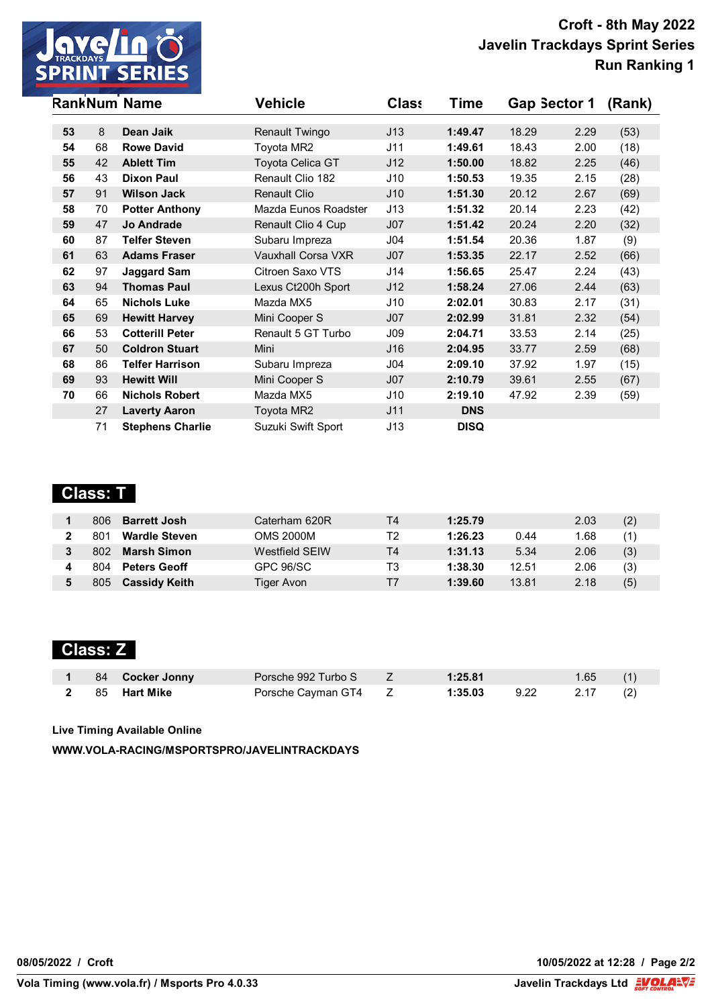

|    |    | <b>RankNum Name</b>     | <b>Vehicle</b>       | <b>Class</b>    | Time        | Gap Sector 1 |      | (Rank) |
|----|----|-------------------------|----------------------|-----------------|-------------|--------------|------|--------|
| 53 | 8  | Dean Jaik               | Renault Twingo       | J13             | 1:49.47     | 18.29        | 2.29 | (53)   |
| 54 | 68 | <b>Rowe David</b>       | Toyota MR2           | J11             | 1:49.61     | 18.43        | 2.00 | (18)   |
|    | 42 | <b>Ablett Tim</b>       |                      |                 | 1:50.00     |              |      |        |
| 55 |    |                         | Toyota Celica GT     | J12             |             | 18.82        | 2.25 | (46)   |
| 56 | 43 | <b>Dixon Paul</b>       | Renault Clio 182     | J10             | 1:50.53     | 19.35        | 2.15 | (28)   |
| 57 | 91 | <b>Wilson Jack</b>      | <b>Renault Clio</b>  | J10             | 1:51.30     | 20.12        | 2.67 | (69)   |
| 58 | 70 | <b>Potter Anthony</b>   | Mazda Eunos Roadster | J13             | 1:51.32     | 20.14        | 2.23 | (42)   |
| 59 | 47 | <b>Jo Andrade</b>       | Renault Clio 4 Cup   | J07             | 1:51.42     | 20.24        | 2.20 | (32)   |
| 60 | 87 | <b>Telfer Steven</b>    | Subaru Impreza       | J <sub>04</sub> | 1:51.54     | 20.36        | 1.87 | (9)    |
| 61 | 63 | <b>Adams Fraser</b>     | Vauxhall Corsa VXR   | J07             | 1:53.35     | 22.17        | 2.52 | (66)   |
| 62 | 97 | <b>Jaggard Sam</b>      | Citroen Saxo VTS     | J14             | 1:56.65     | 25.47        | 2.24 | (43)   |
| 63 | 94 | <b>Thomas Paul</b>      | Lexus Ct200h Sport   | J12             | 1:58.24     | 27.06        | 2.44 | (63)   |
| 64 | 65 | <b>Nichols Luke</b>     | Mazda MX5            | J10             | 2:02.01     | 30.83        | 2.17 | (31)   |
| 65 | 69 | <b>Hewitt Harvey</b>    | Mini Cooper S        | J07             | 2:02.99     | 31.81        | 2.32 | (54)   |
| 66 | 53 | <b>Cotterill Peter</b>  | Renault 5 GT Turbo   | J09             | 2:04.71     | 33.53        | 2.14 | (25)   |
| 67 | 50 | <b>Coldron Stuart</b>   | Mini                 | J16             | 2:04.95     | 33.77        | 2.59 | (68)   |
| 68 | 86 | <b>Telfer Harrison</b>  | Subaru Impreza       | J04             | 2:09.10     | 37.92        | 1.97 | (15)   |
| 69 | 93 | <b>Hewitt Will</b>      | Mini Cooper S        | J07             | 2:10.79     | 39.61        | 2.55 | (67)   |
| 70 | 66 | <b>Nichols Robert</b>   | Mazda MX5            | J10             | 2:19.10     | 47.92        | 2.39 | (59)   |
|    | 27 | <b>Laverty Aaron</b>    | Toyota MR2           | J11             | <b>DNS</b>  |              |      |        |
|    | 71 | <b>Stephens Charlie</b> | Suzuki Swift Sport   | J13             | <b>DISQ</b> |              |      |        |

# **Class: T**

| 806 | <b>Barrett Josh</b>  | Caterham 620R         | Τ4 | 1:25.79 |       | 2.03 | (2) |
|-----|----------------------|-----------------------|----|---------|-------|------|-----|
| 801 | <b>Wardle Steven</b> | OMS 2000M             | Т2 | 1:26.23 | 0.44  | 1.68 | (1) |
| 802 | <b>Marsh Simon</b>   | <b>Westfield SEIW</b> | Τ4 | 1:31.13 | 5.34  | 2.06 | (3) |
| 804 | <b>Peters Geoff</b>  | GPC 96/SC             | T3 | 1:38.30 | 12.51 | 2.06 | (3) |
| 805 | <b>Cassidy Keith</b> | Tiger Avon            | т7 | 1:39.60 | 13.81 | 2.18 | (5) |

## **Class: Z**

|  | 1 84 Cocker Jonny | Porsche 992 Turbo S Z | 1:25.81 |                 | $1.65$ (1) |  |
|--|-------------------|-----------------------|---------|-----------------|------------|--|
|  | 2 85 Hart Mike    | Porsche Cayman GT4 Z  | 1:35.03 | $9.22$ 2.17 (2) |            |  |

**Live Timing Available Online**

**WWW.VOLA-RACING/MSPORTSPRO/JAVELINTRACKDAYS**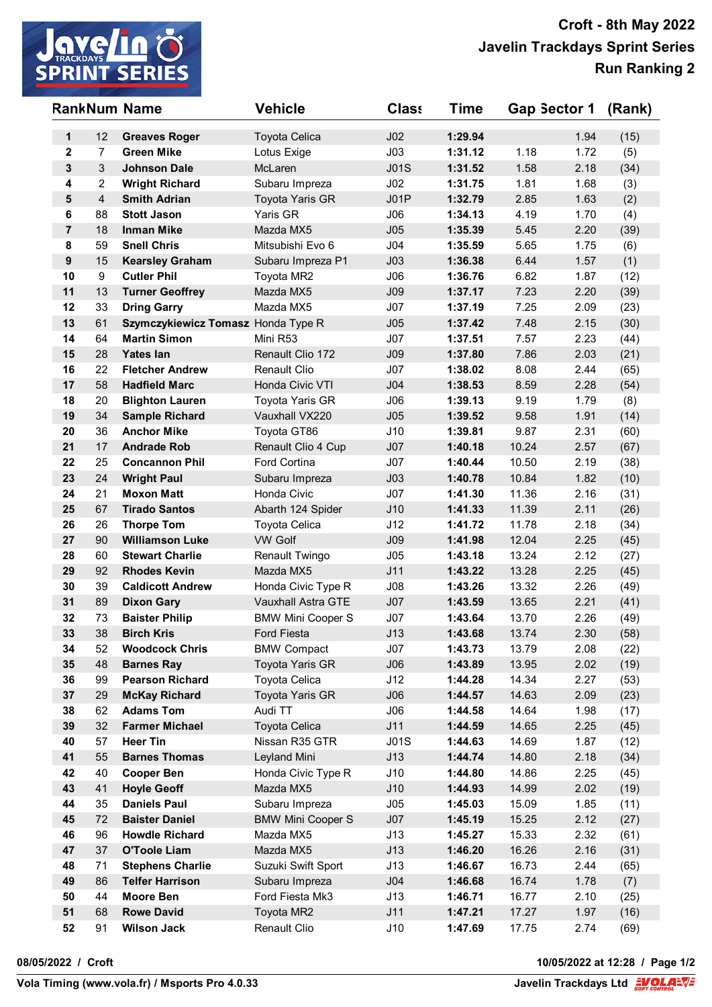

|                         |                | <b>RankNum Name</b>                        | <b>Vehicle</b>                                 | <b>Class</b>    | Time               | Gap Sector 1   |              | (Rank)       |
|-------------------------|----------------|--------------------------------------------|------------------------------------------------|-----------------|--------------------|----------------|--------------|--------------|
| 1                       | 12             | <b>Greaves Roger</b>                       | <b>Toyota Celica</b>                           | J <sub>02</sub> | 1:29.94            |                | 1.94         | (15)         |
| $\mathbf{2}$            | $\overline{7}$ | <b>Green Mike</b>                          | Lotus Exige                                    | J <sub>03</sub> | 1:31.12            | 1.18           | 1.72         | (5)          |
| 3                       | 3              | <b>Johnson Dale</b>                        | McLaren                                        | J01S            | 1:31.52            | 1.58           | 2.18         | (34)         |
| $\overline{\mathbf{4}}$ | $\overline{c}$ | <b>Wright Richard</b>                      | Subaru Impreza                                 | J02             | 1:31.75            | 1.81           | 1.68         | (3)          |
| 5                       | $\overline{4}$ | <b>Smith Adrian</b>                        | <b>Toyota Yaris GR</b>                         | JO1P            | 1:32.79            | 2.85           | 1.63         | (2)          |
| $\bf 6$                 | 88             | <b>Stott Jason</b>                         | Yaris GR                                       | J06             | 1:34.13            | 4.19           | 1.70         | (4)          |
| $\overline{7}$          | 18             | <b>Inman Mike</b>                          | Mazda MX5                                      | J05             | 1:35.39            | 5.45           | 2.20         | (39)         |
| 8                       | 59             | <b>Snell Chris</b>                         | Mitsubishi Evo 6                               | J <sub>04</sub> | 1:35.59            | 5.65           | 1.75         | (6)          |
| $\boldsymbol{9}$        | 15             | <b>Kearsley Graham</b>                     | Subaru Impreza P1                              | J <sub>03</sub> | 1:36.38            | 6.44           | 1.57         | (1)          |
| 10                      | 9              | <b>Cutler Phil</b>                         | Toyota MR2                                     | J06             | 1:36.76            | 6.82           | 1.87         | (12)         |
| 11                      | 13             | <b>Turner Geoffrey</b>                     | Mazda MX5                                      | J09             | 1:37.17            | 7.23           | 2.20         | (39)         |
| 12                      | 33             | <b>Dring Garry</b>                         | Mazda MX5                                      | J07             | 1:37.19            | 7.25           | 2.09         | (23)         |
| 13                      | 61             | Szymczykiewicz Tomasz Honda Type R         |                                                | J05             | 1:37.42            | 7.48           | 2.15         | (30)         |
| 14                      | 64             | <b>Martin Simon</b>                        | Mini R53                                       | J07             | 1:37.51            | 7.57           | 2.23         | (44)         |
| 15                      | 28             | <b>Yates lan</b>                           | Renault Clio 172                               | J <sub>09</sub> | 1:37.80            | 7.86           | 2.03         | (21)         |
| 16                      | 22             | <b>Fletcher Andrew</b>                     | <b>Renault Clio</b>                            | J07             | 1:38.02            | 8.08           | 2.44         | (65)         |
| 17                      | 58             | <b>Hadfield Marc</b>                       | Honda Civic VTI                                | J <sub>04</sub> | 1:38.53            | 8.59           | 2.28         | (54)         |
| 18                      | 20             | <b>Blighton Lauren</b>                     | Toyota Yaris GR                                | J06             | 1:39.13            | 9.19           | 1.79         | (8)          |
| 19                      | 34             | <b>Sample Richard</b>                      | Vauxhall VX220                                 | J05             | 1:39.52            | 9.58           | 1.91         | (14)         |
| 20                      | 36             | <b>Anchor Mike</b>                         | Toyota GT86                                    | J10             | 1:39.81            | 9.87           | 2.31         | (60)         |
| 21                      | 17             | <b>Andrade Rob</b>                         | Renault Clio 4 Cup                             | J07             | 1:40.18            | 10.24          | 2.57         | (67)         |
| 22                      | 25             | <b>Concannon Phil</b>                      | <b>Ford Cortina</b>                            | J07             | 1:40.44            | 10.50          | 2.19         | (38)         |
| 23                      | 24             | <b>Wright Paul</b>                         | Subaru Impreza                                 | J <sub>03</sub> | 1:40.78            | 10.84          | 1.82         | (10)         |
| 24                      | 21             | <b>Moxon Matt</b>                          | Honda Civic                                    | J07             | 1:41.30            | 11.36          | 2.16         | (31)         |
| 25                      | 67             | <b>Tirado Santos</b>                       | Abarth 124 Spider                              | J10             | 1:41.33            | 11.39          | 2.11         | (26)         |
| 26                      | 26             | <b>Thorpe Tom</b>                          | Toyota Celica                                  | J12             | 1:41.72            | 11.78          | 2.18         | (34)         |
| 27                      | 90             | <b>Williamson Luke</b>                     | <b>VW Golf</b>                                 | J09             | 1:41.98            | 12.04          | 2.25         | (45)         |
| 28                      | 60             | <b>Stewart Charlie</b>                     | Renault Twingo                                 | J05             | 1:43.18            | 13.24          | 2.12         | (27)         |
| 29                      | 92             | <b>Rhodes Kevin</b>                        | Mazda MX5                                      | J11             | 1:43.22            | 13.28          | 2.25         | (45)         |
| 30                      | 39             | <b>Caldicott Andrew</b>                    | Honda Civic Type R                             | J08             | 1:43.26            | 13.32          | 2.26         | (49)         |
| 31<br>32                | 89<br>73       | <b>Dixon Gary</b>                          | Vauxhall Astra GTE<br><b>BMW Mini Cooper S</b> | J07<br>J07      | 1:43.59<br>1:43.64 | 13.65<br>13.70 | 2.21         | (41)         |
| 33                      | 38             | <b>Baister Philip</b><br><b>Birch Kris</b> | Ford Fiesta                                    | J13             | 1:43.68            | 13.74          | 2.26<br>2.30 | (49)         |
| 34                      | 52             | <b>Woodcock Chris</b>                      | <b>BMW Compact</b>                             | J07             | 1:43.73            | 13.79          | 2.08         | (58)<br>(22) |
| 35                      | 48             | <b>Barnes Ray</b>                          | Toyota Yaris GR                                | J06             | 1:43.89            | 13.95          | 2.02         | (19)         |
| 36                      | 99             | <b>Pearson Richard</b>                     | <b>Toyota Celica</b>                           | J12             | 1:44.28            | 14.34          | 2.27         | (53)         |
| 37                      | 29             | <b>McKay Richard</b>                       | Toyota Yaris GR                                | J06             | 1:44.57            | 14.63          | 2.09         | (23)         |
| 38                      | 62             | <b>Adams Tom</b>                           | Audi TT                                        | J06             | 1:44.58            | 14.64          | 1.98         | (17)         |
| 39                      | 32             | <b>Farmer Michael</b>                      | Toyota Celica                                  | J11             | 1:44.59            | 14.65          | 2.25         | (45)         |
| 40                      | 57             | <b>Heer Tin</b>                            | Nissan R35 GTR                                 | J01S            | 1:44.63            | 14.69          | 1.87         | (12)         |
| 41                      | 55             | <b>Barnes Thomas</b>                       | Leyland Mini                                   | J13             | 1:44.74            | 14.80          | 2.18         | (34)         |
| 42                      | 40             | <b>Cooper Ben</b>                          | Honda Civic Type R                             | J10             | 1:44.80            | 14.86          | 2.25         | (45)         |
| 43                      | 41             | <b>Hoyle Geoff</b>                         | Mazda MX5                                      | J10             | 1:44.93            | 14.99          | 2.02         | (19)         |
| 44                      | 35             | <b>Daniels Paul</b>                        | Subaru Impreza                                 | J05             | 1:45.03            | 15.09          | 1.85         | (11)         |
| 45                      | 72             | <b>Baister Daniel</b>                      | <b>BMW Mini Cooper S</b>                       | J07             | 1:45.19            | 15.25          | 2.12         | (27)         |
| 46                      | 96             | <b>Howdle Richard</b>                      | Mazda MX5                                      | J13             | 1:45.27            | 15.33          | 2.32         | (61)         |
| 47                      | 37             | <b>O'Toole Liam</b>                        | Mazda MX5                                      | J13             | 1:46.20            | 16.26          | 2.16         | (31)         |
| 48                      | 71             | <b>Stephens Charlie</b>                    | Suzuki Swift Sport                             | J13             | 1:46.67            | 16.73          | 2.44         | (65)         |
| 49                      | 86             | <b>Telfer Harrison</b>                     | Subaru Impreza                                 | J <sub>04</sub> | 1:46.68            | 16.74          | 1.78         | (7)          |
| 50                      | 44             | <b>Moore Ben</b>                           | Ford Fiesta Mk3                                | J13             | 1:46.71            | 16.77          | 2.10         | (25)         |
| 51                      | 68             | <b>Rowe David</b>                          | Toyota MR2                                     | J11             | 1:47.21            | 17.27          | 1.97         | (16)         |
| 52                      | 91             | <b>Wilson Jack</b>                         | Renault Clio                                   | J10             | 1:47.69            | 17.75          | 2.74         | (69)         |

**08/05/2022 / Croft 10/05/2022 at 12:28 / Page 1/2**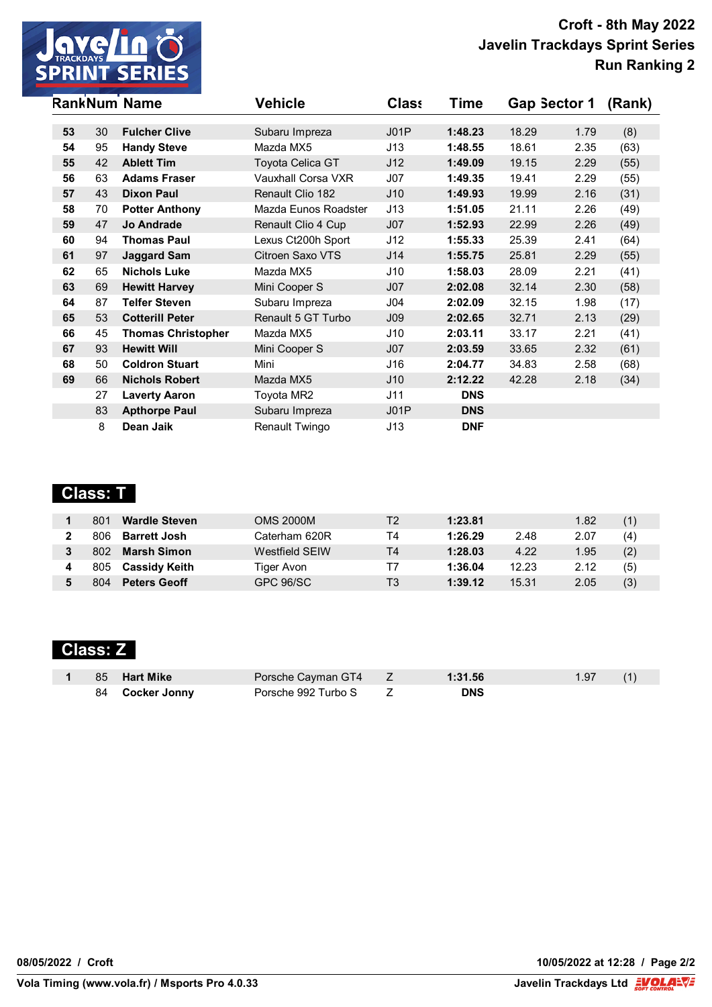

|    |    | <b>RankNum Name</b>       | <b>Vehicle</b>          | <b>Class</b>    | Time       | Gap Sector 1 |      | (Rank) |
|----|----|---------------------------|-------------------------|-----------------|------------|--------------|------|--------|
|    |    |                           |                         |                 |            |              |      |        |
| 53 | 30 | <b>Fulcher Clive</b>      | Subaru Impreza          | J01P            | 1:48.23    | 18.29        | 1.79 | (8)    |
| 54 | 95 | <b>Handy Steve</b>        | Mazda MX5               | J13             | 1:48.55    | 18.61        | 2.35 | (63)   |
| 55 | 42 | <b>Ablett Tim</b>         | <b>Toyota Celica GT</b> | J12             | 1:49.09    | 19.15        | 2.29 | (55)   |
| 56 | 63 | <b>Adams Fraser</b>       | Vauxhall Corsa VXR      | J07             | 1:49.35    | 19.41        | 2.29 | (55)   |
| 57 | 43 | <b>Dixon Paul</b>         | Renault Clio 182        | J10             | 1:49.93    | 19.99        | 2.16 | (31)   |
| 58 | 70 | <b>Potter Anthony</b>     | Mazda Eunos Roadster    | J13             | 1:51.05    | 21.11        | 2.26 | (49)   |
| 59 | 47 | <b>Jo Andrade</b>         | Renault Clio 4 Cup      | J07             | 1:52.93    | 22.99        | 2.26 | (49)   |
| 60 | 94 | <b>Thomas Paul</b>        | Lexus Ct200h Sport      | J12             | 1:55.33    | 25.39        | 2.41 | (64)   |
| 61 | 97 | <b>Jaggard Sam</b>        | Citroen Saxo VTS        | J14             | 1:55.75    | 25.81        | 2.29 | (55)   |
| 62 | 65 | <b>Nichols Luke</b>       | Mazda MX5               | J10             | 1:58.03    | 28.09        | 2.21 | (41)   |
| 63 | 69 | <b>Hewitt Harvey</b>      | Mini Cooper S           | J07             | 2:02.08    | 32.14        | 2.30 | (58)   |
| 64 | 87 | <b>Telfer Steven</b>      | Subaru Impreza          | J04             | 2:02.09    | 32.15        | 1.98 | (17)   |
| 65 | 53 | <b>Cotterill Peter</b>    | Renault 5 GT Turbo      | J <sub>09</sub> | 2:02.65    | 32.71        | 2.13 | (29)   |
| 66 | 45 | <b>Thomas Christopher</b> | Mazda MX5               | J10             | 2:03.11    | 33.17        | 2.21 | (41)   |
| 67 | 93 | <b>Hewitt Will</b>        | Mini Cooper S           | J07             | 2:03.59    | 33.65        | 2.32 | (61)   |
| 68 | 50 | <b>Coldron Stuart</b>     | Mini                    | J16             | 2:04.77    | 34.83        | 2.58 | (68)   |
| 69 | 66 | <b>Nichols Robert</b>     | Mazda MX5               | J10             | 2:12.22    | 42.28        | 2.18 | (34)   |
|    | 27 | <b>Laverty Aaron</b>      | Toyota MR2              | J11             | <b>DNS</b> |              |      |        |
|    | 83 | <b>Apthorpe Paul</b>      | Subaru Impreza          | JO1P            | <b>DNS</b> |              |      |        |
|    | 8  | Dean Jaik                 | Renault Twingo          | J13             | <b>DNF</b> |              |      |        |

# **Class: T**

| 801 | <b>Wardle Steven</b> | OMS 2000M      | Т2 | 1:23.81 |       | 1.82 | (1) |
|-----|----------------------|----------------|----|---------|-------|------|-----|
| 806 | <b>Barrett Josh</b>  | Caterham 620R  | Τ4 | 1:26.29 | 2.48  | 2.07 | (4) |
| 802 | <b>Marsh Simon</b>   | Westfield SFIW | T4 | 1:28.03 | 4.22  | 1.95 | (2) |
| 805 | <b>Cassidy Keith</b> | Tiger Avon     | Τ7 | 1:36.04 | 12.23 | 2.12 | (5) |
| 804 | <b>Peters Geoff</b>  | GPC 96/SC      | T3 | 1:39.12 | 15.31 | 2.05 | (3) |

# **Class: Z**

|  | 1 85 Hart Mike  | Porsche Cayman GT4 Z  | 1:31.56    | $1.97$ (1) |  |
|--|-----------------|-----------------------|------------|------------|--|
|  | 84 Cocker Jonny | Porsche 992 Turbo S Z | <b>DNS</b> |            |  |

**08/05/2022 / Croft 10/05/2022 at 12:28 / Page 2/2**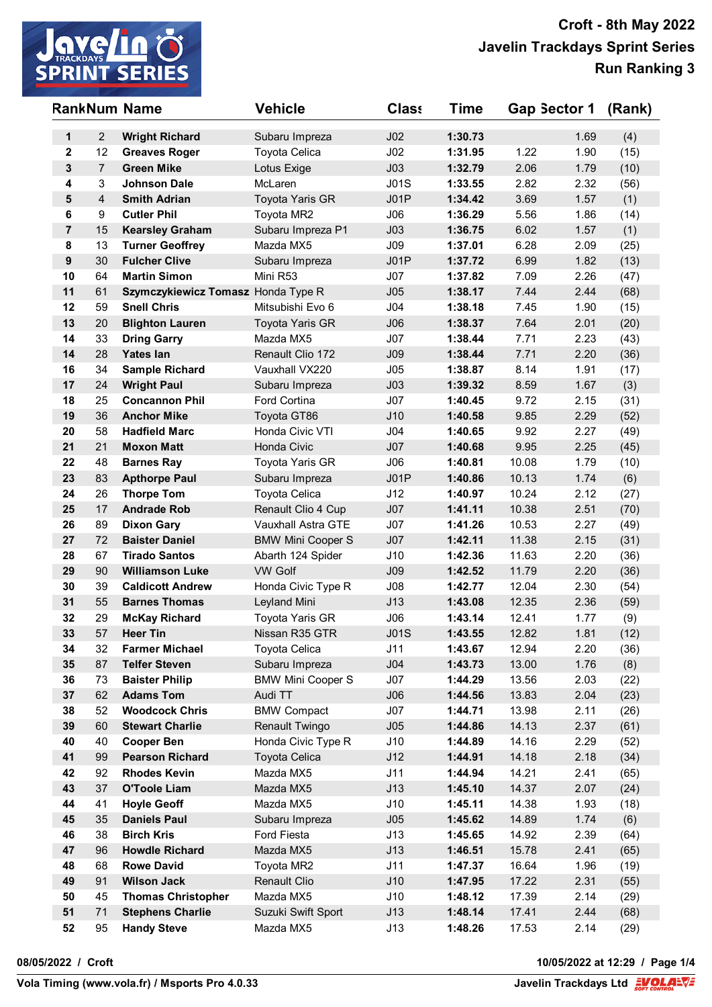

|                  |                | <b>RankNum Name</b>                             | <b>Vehicle</b>                  | <b>Class</b>           | Time               | Gap Sector 1   |              | (Rank)      |
|------------------|----------------|-------------------------------------------------|---------------------------------|------------------------|--------------------|----------------|--------------|-------------|
| 1                | $\overline{2}$ | <b>Wright Richard</b>                           | Subaru Impreza                  | J <sub>02</sub>        | 1:30.73            |                | 1.69         | (4)         |
| $\mathbf{2}$     | 12             | <b>Greaves Roger</b>                            | <b>Toyota Celica</b>            | J <sub>02</sub>        | 1:31.95            | 1.22           | 1.90         | (15)        |
| $\mathbf{3}$     | $\overline{7}$ | <b>Green Mike</b>                               | Lotus Exige                     | J <sub>03</sub>        | 1:32.79            | 2.06           | 1.79         | (10)        |
| 4                | 3              | <b>Johnson Dale</b>                             | McLaren                         | J01S                   | 1:33.55            | 2.82           | 2.32         | (56)        |
| 5                | $\overline{4}$ | <b>Smith Adrian</b>                             | Toyota Yaris GR                 | JO1P                   | 1:34.42            | 3.69           | 1.57         | (1)         |
| 6                | 9              | <b>Cutler Phil</b>                              | Toyota MR2                      | J06                    | 1:36.29            | 5.56           | 1.86         | (14)        |
| $\overline{7}$   | 15             | <b>Kearsley Graham</b>                          | Subaru Impreza P1               | J <sub>03</sub>        | 1:36.75            | 6.02           | 1.57         | (1)         |
| 8                | 13             | <b>Turner Geoffrey</b>                          | Mazda MX5                       | J09                    | 1:37.01            | 6.28           | 2.09         | (25)        |
| $\boldsymbol{9}$ | 30             | <b>Fulcher Clive</b>                            | Subaru Impreza                  | JO1P                   | 1:37.72            | 6.99           | 1.82         | (13)        |
| 10               | 64             | <b>Martin Simon</b>                             | Mini R53                        | J07                    | 1:37.82            | 7.09           | 2.26         | (47)        |
| 11               | 61             | Szymczykiewicz Tomasz Honda Type R              |                                 | J05                    | 1:38.17            | 7.44           | 2.44         | (68)        |
| 12               | 59             | <b>Snell Chris</b>                              | Mitsubishi Evo 6                | J <sub>04</sub>        | 1:38.18            | 7.45           | 1.90         | (15)        |
| 13               | 20             | <b>Blighton Lauren</b>                          | Toyota Yaris GR                 | J06                    | 1:38.37            | 7.64           | 2.01         | (20)        |
| 14               | 33             | <b>Dring Garry</b>                              | Mazda MX5                       | J07                    | 1:38.44            | 7.71           | 2.23         | (43)        |
| 14               | 28             | <b>Yates lan</b>                                | Renault Clio 172                | J <sub>09</sub>        | 1:38.44            | 7.71           | 2.20         | (36)        |
| 16               | 34             | <b>Sample Richard</b>                           | Vauxhall VX220                  | J05                    | 1:38.87            | 8.14           | 1.91         | (17)        |
| 17               | 24             | <b>Wright Paul</b>                              | Subaru Impreza                  | J <sub>03</sub>        | 1:39.32            | 8.59           | 1.67         | (3)         |
| 18               | 25             | <b>Concannon Phil</b>                           | Ford Cortina                    | J07                    | 1:40.45            | 9.72           | 2.15         | (31)        |
| 19               | 36             | <b>Anchor Mike</b>                              | Toyota GT86                     | J10                    | 1:40.58            | 9.85           | 2.29         | (52)        |
| 20               | 58             | <b>Hadfield Marc</b>                            | Honda Civic VTI                 | J04                    | 1:40.65            | 9.92           | 2.27         | (49)        |
| 21               | 21             | <b>Moxon Matt</b>                               | Honda Civic                     | J07                    | 1:40.68            | 9.95           | 2.25         | (45)        |
| 22               | 48             | <b>Barnes Ray</b>                               | Toyota Yaris GR                 | J06                    | 1:40.81            | 10.08          | 1.79         | (10)        |
| 23               | 83             | <b>Apthorpe Paul</b>                            | Subaru Impreza                  | JO1P                   | 1:40.86            | 10.13          | 1.74         | (6)         |
| 24               | 26             | <b>Thorpe Tom</b>                               | Toyota Celica                   | J12                    | 1:40.97            | 10.24          | 2.12         | (27)        |
| 25               | 17             | <b>Andrade Rob</b>                              | Renault Clio 4 Cup              | J07                    | 1:41.11            | 10.38          | 2.51         | (70)        |
| 26               | 89             | <b>Dixon Gary</b>                               | <b>Vauxhall Astra GTE</b>       | J07                    | 1:41.26            | 10.53          | 2.27         | (49)        |
| 27               | 72             | <b>Baister Daniel</b>                           | <b>BMW Mini Cooper S</b>        | J07                    | 1:42.11            | 11.38          | 2.15         | (31)        |
| 28               | 67             | <b>Tirado Santos</b>                            | Abarth 124 Spider               | J10                    | 1:42.36            | 11.63          | 2.20         | (36)        |
| 29<br>30         | 90<br>39       | <b>Williamson Luke</b>                          | <b>VW Golf</b>                  | J <sub>09</sub><br>J08 | 1:42.52            | 11.79          | 2.20         | (36)        |
| 31               | 55             | <b>Caldicott Andrew</b><br><b>Barnes Thomas</b> | Honda Civic Type R              | J13                    | 1:42.77<br>1:43.08 | 12.04<br>12.35 | 2.30<br>2.36 | (54)        |
| 32               | 29             | <b>McKay Richard</b>                            | Leyland Mini<br>Toyota Yaris GR | J06                    | 1:43.14            | 12.41          | 1.77         | (59)        |
| 33               | 57             | <b>Heer Tin</b>                                 | Nissan R35 GTR                  | J01S                   | 1:43.55            | 12.82          | 1.81         | (9)<br>(12) |
| 34               | 32             | <b>Farmer Michael</b>                           | Toyota Celica                   | J11                    | 1:43.67            | 12.94          | 2.20         | (36)        |
| 35               | 87             | <b>Telfer Steven</b>                            | Subaru Impreza                  | J04                    | 1:43.73            | 13.00          | 1.76         | (8)         |
| 36               | 73             | <b>Baister Philip</b>                           | <b>BMW Mini Cooper S</b>        | J07                    | 1:44.29            | 13.56          | 2.03         | (22)        |
| 37               | 62             | <b>Adams Tom</b>                                | Audi TT                         | J06                    | 1:44.56            | 13.83          | 2.04         | (23)        |
| 38               | 52             | <b>Woodcock Chris</b>                           | <b>BMW Compact</b>              | J07                    | 1:44.71            | 13.98          | 2.11         | (26)        |
| 39               | 60             | <b>Stewart Charlie</b>                          | <b>Renault Twingo</b>           | J05                    | 1:44.86            | 14.13          | 2.37         | (61)        |
| 40               | 40             | <b>Cooper Ben</b>                               | Honda Civic Type R              | J10                    | 1:44.89            | 14.16          | 2.29         | (52)        |
| 41               | 99             | <b>Pearson Richard</b>                          | Toyota Celica                   | J12                    | 1:44.91            | 14.18          | 2.18         | (34)        |
| 42               | 92             | <b>Rhodes Kevin</b>                             | Mazda MX5                       | J11                    | 1:44.94            | 14.21          | 2.41         | (65)        |
| 43               | 37             | <b>O'Toole Liam</b>                             | Mazda MX5                       | J13                    | 1:45.10            | 14.37          | 2.07         | (24)        |
| 44               | 41             | <b>Hoyle Geoff</b>                              | Mazda MX5                       | J10                    | 1:45.11            | 14.38          | 1.93         | (18)        |
| 45               | 35             | <b>Daniels Paul</b>                             | Subaru Impreza                  | J05                    | 1:45.62            | 14.89          | 1.74         | (6)         |
| 46               | 38             | <b>Birch Kris</b>                               | Ford Fiesta                     | J13                    | 1:45.65            | 14.92          | 2.39         | (64)        |
| 47               | 96             | <b>Howdle Richard</b>                           | Mazda MX5                       | J13                    | 1:46.51            | 15.78          | 2.41         | (65)        |
| 48               | 68             | <b>Rowe David</b>                               | Toyota MR2                      | J11                    | 1:47.37            | 16.64          | 1.96         | (19)        |
| 49               | 91             | <b>Wilson Jack</b>                              | Renault Clio                    | J10                    | 1:47.95            | 17.22          | 2.31         | (55)        |
| 50               | 45             | <b>Thomas Christopher</b>                       | Mazda MX5                       | J10                    | 1:48.12            | 17.39          | 2.14         | (29)        |
| 51               | 71             | <b>Stephens Charlie</b>                         | Suzuki Swift Sport              | J13                    | 1:48.14            | 17.41          | 2.44         | (68)        |
| 52               | 95             | <b>Handy Steve</b>                              | Mazda MX5                       | J13                    | 1:48.26            | 17.53          | 2.14         | (29)        |

**08/05/2022 / Croft 10/05/2022 at 12:29 / Page 1/4**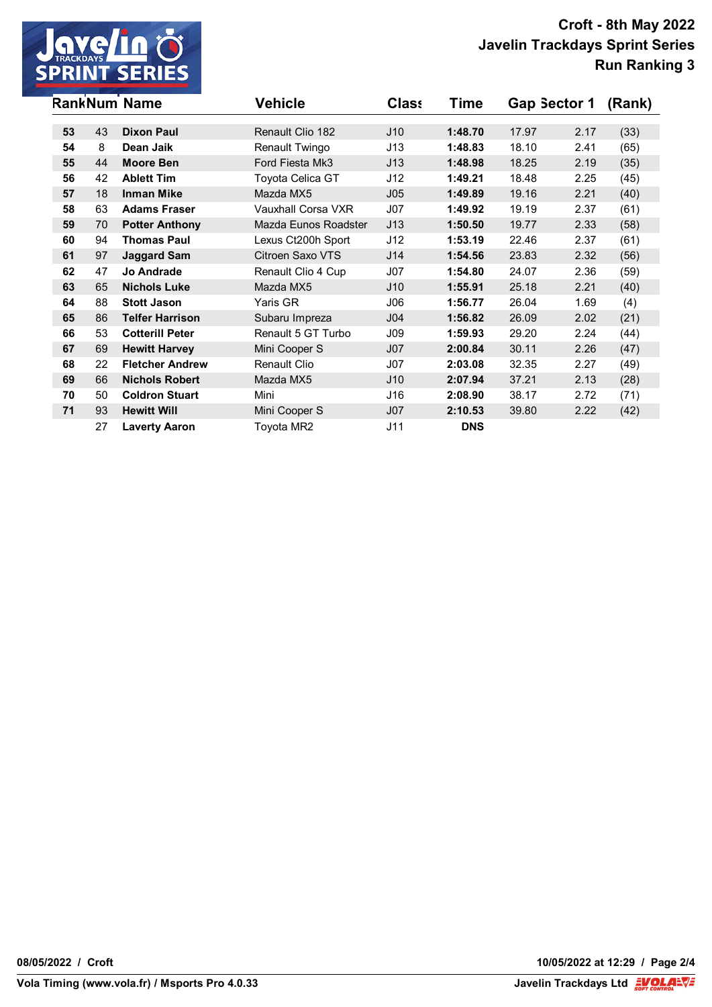

|    |    | <b>RankNum Name</b>    | <b>Vehicle</b>       | <b>Class</b>    | Time       | Gap Sector 1 |      | (Rank) |
|----|----|------------------------|----------------------|-----------------|------------|--------------|------|--------|
| 53 | 43 | <b>Dixon Paul</b>      | Renault Clio 182     | J10             | 1:48.70    | 17.97        | 2.17 |        |
|    | 8  | Dean Jaik              |                      |                 |            |              |      | (33)   |
| 54 |    |                        | Renault Twingo       | J13             | 1:48.83    | 18.10        | 2.41 | (65)   |
| 55 | 44 | <b>Moore Ben</b>       | Ford Fiesta Mk3      | J13             | 1:48.98    | 18.25        | 2.19 | (35)   |
| 56 | 42 | <b>Ablett Tim</b>      | Toyota Celica GT     | J12             | 1:49.21    | 18.48        | 2.25 | (45)   |
| 57 | 18 | <b>Inman Mike</b>      | Mazda MX5            | J05             | 1:49.89    | 19.16        | 2.21 | (40)   |
| 58 | 63 | <b>Adams Fraser</b>    | Vauxhall Corsa VXR   | J07             | 1:49.92    | 19.19        | 2.37 | (61)   |
| 59 | 70 | <b>Potter Anthony</b>  | Mazda Eunos Roadster | J13             | 1:50.50    | 19.77        | 2.33 | (58)   |
| 60 | 94 | <b>Thomas Paul</b>     | Lexus Ct200h Sport   | J12             | 1:53.19    | 22.46        | 2.37 | (61)   |
| 61 | 97 | <b>Jaggard Sam</b>     | Citroen Saxo VTS     | J14             | 1:54.56    | 23.83        | 2.32 | (56)   |
| 62 | 47 | <b>Jo Andrade</b>      | Renault Clio 4 Cup   | J07             | 1:54.80    | 24.07        | 2.36 | (59)   |
| 63 | 65 | <b>Nichols Luke</b>    | Mazda MX5            | J10             | 1:55.91    | 25.18        | 2.21 | (40)   |
| 64 | 88 | <b>Stott Jason</b>     | Yaris GR             | J06             | 1:56.77    | 26.04        | 1.69 | (4)    |
| 65 | 86 | <b>Telfer Harrison</b> | Subaru Impreza       | J <sub>04</sub> | 1:56.82    | 26.09        | 2.02 | (21)   |
| 66 | 53 | <b>Cotterill Peter</b> | Renault 5 GT Turbo   | J09             | 1:59.93    | 29.20        | 2.24 | (44)   |
| 67 | 69 | <b>Hewitt Harvey</b>   | Mini Cooper S        | J <sub>07</sub> | 2:00.84    | 30.11        | 2.26 | (47)   |
| 68 | 22 | <b>Fletcher Andrew</b> | <b>Renault Clio</b>  | J07             | 2:03.08    | 32.35        | 2.27 | (49)   |
| 69 | 66 | <b>Nichols Robert</b>  | Mazda MX5            | J10             | 2:07.94    | 37.21        | 2.13 | (28)   |
| 70 | 50 | <b>Coldron Stuart</b>  | Mini                 | J16             | 2:08.90    | 38.17        | 2.72 | (71)   |
| 71 | 93 | <b>Hewitt Will</b>     | Mini Cooper S        | J <sub>07</sub> | 2:10.53    | 39.80        | 2.22 | (42)   |
|    | 27 | <b>Laverty Aaron</b>   | Toyota MR2           | J11             | <b>DNS</b> |              |      |        |

**08/05/2022 / Croft 10/05/2022 at 12:29 / Page 2/4**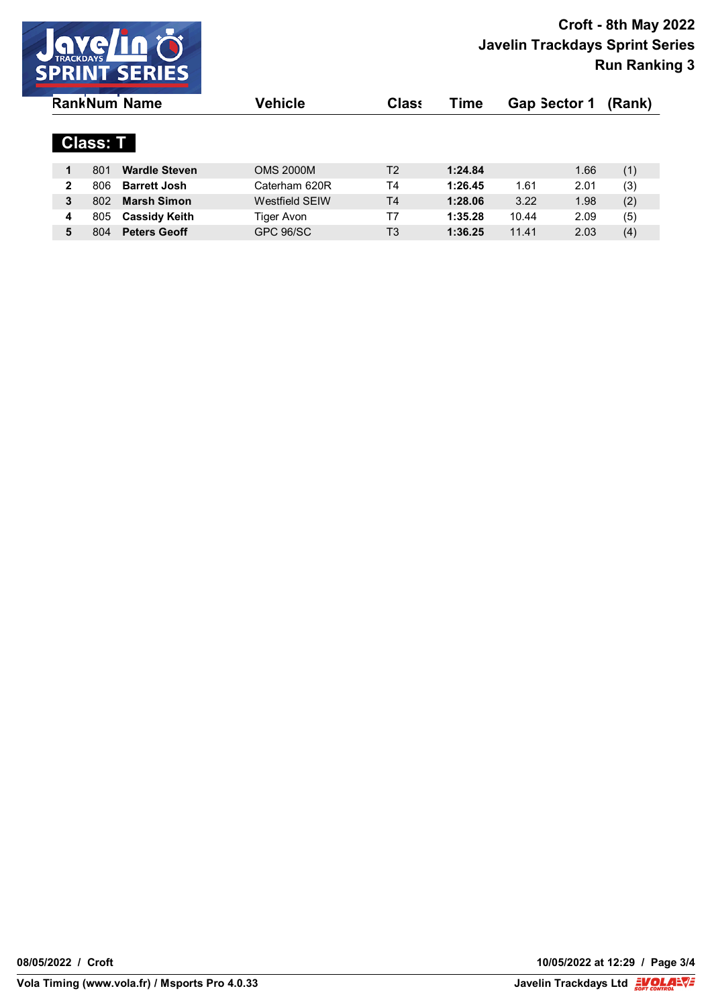

| <b>RankNum Name</b> |                 |                      | Vehicle               | <b>Class</b>   | Time    | <b>Gap Sector 1</b> |      | (Rank) |
|---------------------|-----------------|----------------------|-----------------------|----------------|---------|---------------------|------|--------|
|                     | <b>Class: T</b> |                      |                       |                |         |                     |      |        |
| 1                   | 801             | <b>Wardle Steven</b> | <b>OMS 2000M</b>      | T2             | 1:24.84 |                     | 1.66 | (1)    |
| $\mathbf{2}$        | 806             | <b>Barrett Josh</b>  | Caterham 620R         | T4             | 1:26.45 | 1.61                | 2.01 | (3)    |
| 3                   | 802             | <b>Marsh Simon</b>   | <b>Westfield SEIW</b> | T <sub>4</sub> | 1:28.06 | 3.22                | 1.98 | (2)    |
| 4                   | 805             | <b>Cassidy Keith</b> | Tiger Avon            | Τ7             | 1:35.28 | 10.44               | 2.09 | (5)    |
| 5                   | 804             | <b>Peters Geoff</b>  | GPC 96/SC             | T <sub>3</sub> | 1:36.25 | 11.41               | 2.03 | (4)    |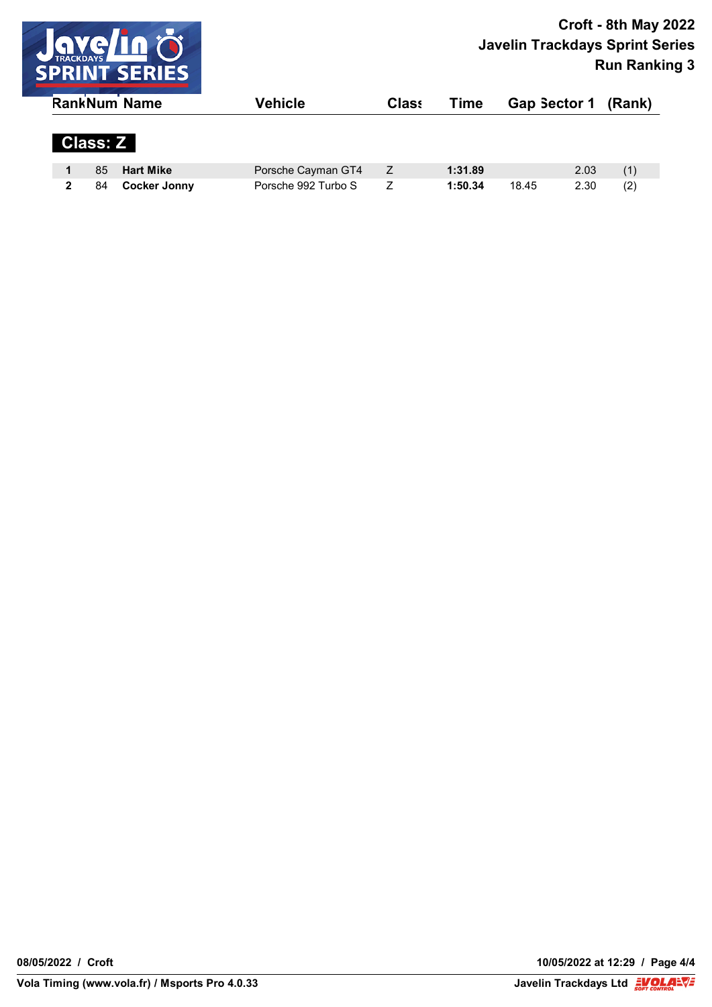

|                 | <b>RankNum Name</b> | Vehicle             | <b>Class</b> | Time    | Gap Sector 1 |      | (Rank) |  |
|-----------------|---------------------|---------------------|--------------|---------|--------------|------|--------|--|
| <b>Class: Z</b> |                     |                     |              |         |              |      |        |  |
| 85              | <b>Hart Mike</b>    | Porsche Cayman GT4  | Z            | 1:31.89 |              | 2.03 | (1)    |  |
| 84              | <b>Cocker Jonny</b> | Porsche 992 Turbo S |              | 1:50.34 | 18.45        | 2.30 | (2)    |  |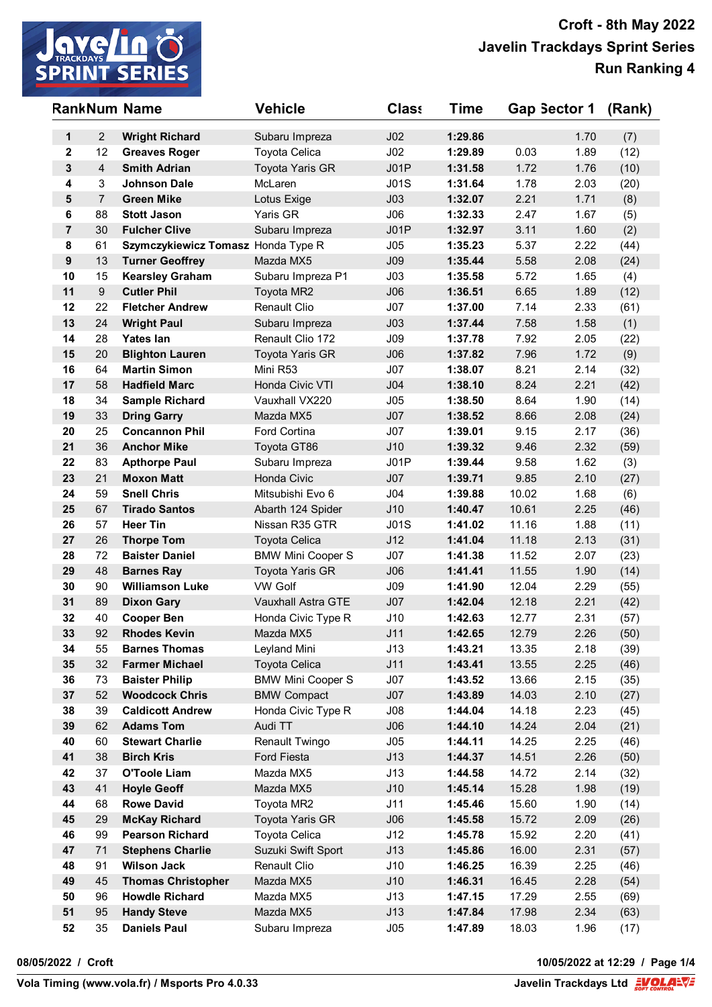

|                  |                  | <b>RankNum Name</b>                         | <b>Vehicle</b>                           | <b>Class</b>    | <b>Time</b>        | Gap Sector 1   |              | (Rank)       |
|------------------|------------------|---------------------------------------------|------------------------------------------|-----------------|--------------------|----------------|--------------|--------------|
| 1                | $\overline{2}$   | <b>Wright Richard</b>                       | Subaru Impreza                           | J <sub>02</sub> | 1:29.86            |                | 1.70         | (7)          |
| 2                | 12               | <b>Greaves Roger</b>                        | Toyota Celica                            | J <sub>02</sub> | 1:29.89            | 0.03           | 1.89         | (12)         |
| 3                | $\overline{4}$   | <b>Smith Adrian</b>                         | <b>Toyota Yaris GR</b>                   | JO1P            | 1:31.58            | 1.72           | 1.76         | (10)         |
| 4                | 3                | <b>Johnson Dale</b>                         | McLaren                                  | J01S            | 1:31.64            | 1.78           | 2.03         | (20)         |
| 5                | $\overline{7}$   | <b>Green Mike</b>                           | Lotus Exige                              | J <sub>03</sub> | 1:32.07            | 2.21           | 1.71         | (8)          |
| 6                | 88               | <b>Stott Jason</b>                          | Yaris GR                                 | J06             | 1:32.33            | 2.47           | 1.67         | (5)          |
| $\overline{7}$   | 30               | <b>Fulcher Clive</b>                        | Subaru Impreza                           | JO1P            | 1:32.97            | 3.11           | 1.60         | (2)          |
| 8                | 61               | Szymczykiewicz Tomasz Honda Type R          |                                          | J05             | 1:35.23            | 5.37           | 2.22         | (44)         |
| $\boldsymbol{9}$ | 13               | <b>Turner Geoffrey</b>                      | Mazda MX5                                | J <sub>09</sub> | 1:35.44            | 5.58           | 2.08         | (24)         |
| 10               | 15               | <b>Kearsley Graham</b>                      | Subaru Impreza P1                        | J <sub>03</sub> | 1:35.58            | 5.72           | 1.65         | (4)          |
| 11               | $\boldsymbol{9}$ | <b>Cutler Phil</b>                          | Toyota MR2                               | J06             | 1:36.51            | 6.65           | 1.89         | (12)         |
| 12               | 22               | <b>Fletcher Andrew</b>                      | Renault Clio                             | J07             | 1:37.00            | 7.14           | 2.33         | (61)         |
| 13               | 24               | <b>Wright Paul</b>                          | Subaru Impreza                           | J <sub>03</sub> | 1:37.44            | 7.58           | 1.58         | (1)          |
| 14               | 28               | <b>Yates lan</b>                            | Renault Clio 172                         | J09             | 1:37.78            | 7.92           | 2.05         | (22)         |
| 15               | 20               | <b>Blighton Lauren</b>                      | <b>Toyota Yaris GR</b>                   | J06             | 1:37.82            | 7.96           | 1.72         | (9)          |
| 16               | 64               | <b>Martin Simon</b>                         | Mini R53                                 | J07             | 1:38.07            | 8.21           | 2.14         | (32)         |
| 17               | 58               | <b>Hadfield Marc</b>                        | Honda Civic VTI                          | J <sub>04</sub> | 1:38.10            | 8.24           | 2.21         | (42)         |
| 18               | 34               | <b>Sample Richard</b>                       | Vauxhall VX220                           | J05             | 1:38.50            | 8.64           | 1.90         | (14)         |
| 19               | 33               | <b>Dring Garry</b>                          | Mazda MX5                                | J07             | 1:38.52            | 8.66           | 2.08         | (24)         |
| 20               | 25               | <b>Concannon Phil</b>                       | Ford Cortina                             | J07             | 1:39.01            | 9.15           | 2.17         | (36)         |
| 21               | 36               | <b>Anchor Mike</b>                          | Toyota GT86                              | J10             | 1:39.32            | 9.46           | 2.32         | (59)         |
| 22               | 83               | <b>Apthorpe Paul</b>                        | Subaru Impreza                           | J01P            | 1:39.44            | 9.58           | 1.62         | (3)          |
| 23               | 21               | <b>Moxon Matt</b>                           | Honda Civic                              | J07             | 1:39.71            | 9.85           | 2.10         | (27)         |
| 24               | 59               | <b>Snell Chris</b>                          | Mitsubishi Evo 6                         | J04             | 1:39.88            | 10.02          | 1.68         | (6)          |
| 25               | 67               | <b>Tirado Santos</b>                        | Abarth 124 Spider                        | J10             | 1:40.47            | 10.61          | 2.25         | (46)         |
| 26               | 57               | <b>Heer Tin</b>                             | Nissan R35 GTR                           | J01S            | 1:41.02            | 11.16          | 1.88         | (11)         |
| 27               | 26               | <b>Thorpe Tom</b>                           | Toyota Celica                            | J12             | 1:41.04            | 11.18          | 2.13         | (31)         |
| 28               | 72               | <b>Baister Daniel</b>                       | <b>BMW Mini Cooper S</b>                 | J07             | 1:41.38            | 11.52          | 2.07         | (23)         |
| 29<br>30         | 48<br>90         | <b>Barnes Ray</b><br><b>Williamson Luke</b> | <b>Toyota Yaris GR</b><br><b>VW Golf</b> | J06<br>J09      | 1:41.41<br>1:41.90 | 11.55<br>12.04 | 1.90<br>2.29 | (14)         |
| 31               | 89               | <b>Dixon Gary</b>                           | Vauxhall Astra GTE                       | J07             | 1:42.04            | 12.18          | 2.21         | (55)<br>(42) |
| 32               | 40               | <b>Cooper Ben</b>                           | Honda Civic Type R                       | J10             | 1:42.63            | 12.77          | 2.31         | (57)         |
| 33               | 92               | <b>Rhodes Kevin</b>                         | Mazda MX5                                | J11             | 1:42.65            | 12.79          | 2.26         | (50)         |
| 34               | 55               | <b>Barnes Thomas</b>                        | Leyland Mini                             | J13             | 1:43.21            | 13.35          | 2.18         | (39)         |
| 35               | 32               | <b>Farmer Michael</b>                       | <b>Toyota Celica</b>                     | J11             | 1:43.41            | 13.55          | 2.25         | (46)         |
| 36               | 73               | <b>Baister Philip</b>                       | <b>BMW Mini Cooper S</b>                 | J07             | 1:43.52            | 13.66          | 2.15         | (35)         |
| 37               | 52               | <b>Woodcock Chris</b>                       | <b>BMW Compact</b>                       | J07             | 1:43.89            | 14.03          | 2.10         | (27)         |
| 38               | 39               | <b>Caldicott Andrew</b>                     | Honda Civic Type R                       | J08             | 1:44.04            | 14.18          | 2.23         | (45)         |
| 39               | 62               | <b>Adams Tom</b>                            | Audi TT                                  | J06             | 1:44.10            | 14.24          | 2.04         | (21)         |
| 40               | 60               | <b>Stewart Charlie</b>                      | Renault Twingo                           | J05             | 1:44.11            | 14.25          | 2.25         | (46)         |
| 41               | 38               | <b>Birch Kris</b>                           | Ford Fiesta                              | J13             | 1:44.37            | 14.51          | 2.26         | (50)         |
| 42               | 37               | <b>O'Toole Liam</b>                         | Mazda MX5                                | J13             | 1:44.58            | 14.72          | 2.14         | (32)         |
| 43               | 41               | <b>Hoyle Geoff</b>                          | Mazda MX5                                | J10             | 1:45.14            | 15.28          | 1.98         | (19)         |
| 44               | 68               | <b>Rowe David</b>                           | Toyota MR2                               | J11             | 1:45.46            | 15.60          | 1.90         | (14)         |
| 45               | 29               | <b>McKay Richard</b>                        | <b>Toyota Yaris GR</b>                   | J06             | 1:45.58            | 15.72          | 2.09         | (26)         |
| 46               | 99               | <b>Pearson Richard</b>                      | <b>Toyota Celica</b>                     | J12             | 1:45.78            | 15.92          | 2.20         | (41)         |
| 47               | 71               | <b>Stephens Charlie</b>                     | Suzuki Swift Sport                       | J13             | 1:45.86            | 16.00          | 2.31         | (57)         |
| 48               | 91               | <b>Wilson Jack</b>                          | Renault Clio                             | J10             | 1:46.25            | 16.39          | 2.25         | (46)         |
| 49               | 45               | <b>Thomas Christopher</b>                   | Mazda MX5                                | J10             | 1:46.31            | 16.45          | 2.28         | (54)         |
| 50               | 96               | <b>Howdle Richard</b>                       | Mazda MX5                                | J13             | 1:47.15            | 17.29          | 2.55         | (69)         |
| 51               | 95               | <b>Handy Steve</b>                          | Mazda MX5                                | J13             | 1:47.84            | 17.98          | 2.34         | (63)         |
| 52               | 35               | <b>Daniels Paul</b>                         | Subaru Impreza                           | J05             | 1:47.89            | 18.03          | 1.96         | (17)         |

**08/05/2022 / Croft 10/05/2022 at 12:29 / Page 1/4**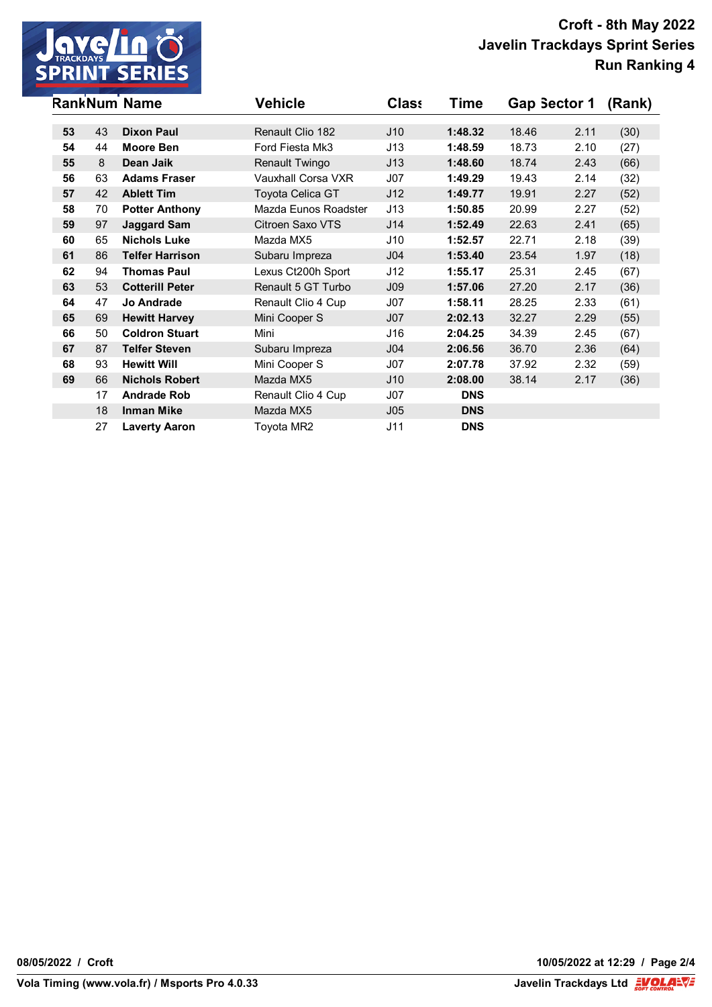

|    |    | <b>RankNum Name</b>    | <b>Vehicle</b>          | <b>Class</b>    | Time       | Gap Sector 1 |      | (Rank) |
|----|----|------------------------|-------------------------|-----------------|------------|--------------|------|--------|
| 53 |    | <b>Dixon Paul</b>      | Renault Clio 182        |                 | 1:48.32    |              |      |        |
|    | 43 |                        |                         | J10             |            | 18.46        | 2.11 | (30)   |
| 54 | 44 | <b>Moore Ben</b>       | Ford Fiesta Mk3         | J13             | 1:48.59    | 18.73        | 2.10 | (27)   |
| 55 | 8  | Dean Jaik              | Renault Twingo          | J13             | 1:48.60    | 18.74        | 2.43 | (66)   |
| 56 | 63 | <b>Adams Fraser</b>    | Vauxhall Corsa VXR      | J07             | 1:49.29    | 19.43        | 2.14 | (32)   |
| 57 | 42 | <b>Ablett Tim</b>      | <b>Toyota Celica GT</b> | J12             | 1:49.77    | 19.91        | 2.27 | (52)   |
| 58 | 70 | <b>Potter Anthony</b>  | Mazda Eunos Roadster    | J13             | 1:50.85    | 20.99        | 2.27 | (52)   |
| 59 | 97 | <b>Jaggard Sam</b>     | Citroen Saxo VTS        | J14             | 1:52.49    | 22.63        | 2.41 | (65)   |
| 60 | 65 | <b>Nichols Luke</b>    | Mazda MX5               | J10             | 1:52.57    | 22.71        | 2.18 | (39)   |
| 61 | 86 | <b>Telfer Harrison</b> | Subaru Impreza          | J <sub>04</sub> | 1:53.40    | 23.54        | 1.97 | (18)   |
| 62 | 94 | <b>Thomas Paul</b>     | Lexus Ct200h Sport      | J12             | 1:55.17    | 25.31        | 2.45 | (67)   |
| 63 | 53 | <b>Cotterill Peter</b> | Renault 5 GT Turbo      | J <sub>09</sub> | 1:57.06    | 27.20        | 2.17 | (36)   |
| 64 | 47 | Jo Andrade             | Renault Clio 4 Cup      | J07             | 1:58.11    | 28.25        | 2.33 | (61)   |
| 65 | 69 | <b>Hewitt Harvey</b>   | Mini Cooper S           | J07             | 2:02.13    | 32.27        | 2.29 | (55)   |
| 66 | 50 | <b>Coldron Stuart</b>  | Mini                    | J16             | 2:04.25    | 34.39        | 2.45 | (67)   |
| 67 | 87 | <b>Telfer Steven</b>   | Subaru Impreza          | J <sub>04</sub> | 2:06.56    | 36.70        | 2.36 | (64)   |
| 68 | 93 | <b>Hewitt Will</b>     | Mini Cooper S           | J07             | 2:07.78    | 37.92        | 2.32 | (59)   |
| 69 | 66 | <b>Nichols Robert</b>  | Mazda MX5               | J10             | 2:08.00    | 38.14        | 2.17 | (36)   |
|    | 17 | <b>Andrade Rob</b>     | Renault Clio 4 Cup      | J07             | <b>DNS</b> |              |      |        |
|    | 18 | <b>Inman Mike</b>      | Mazda MX5               | J <sub>05</sub> | <b>DNS</b> |              |      |        |
|    | 27 | <b>Laverty Aaron</b>   | Toyota MR2              | J11             | <b>DNS</b> |              |      |        |

**08/05/2022 / Croft 10/05/2022 at 12:29 / Page 2/4**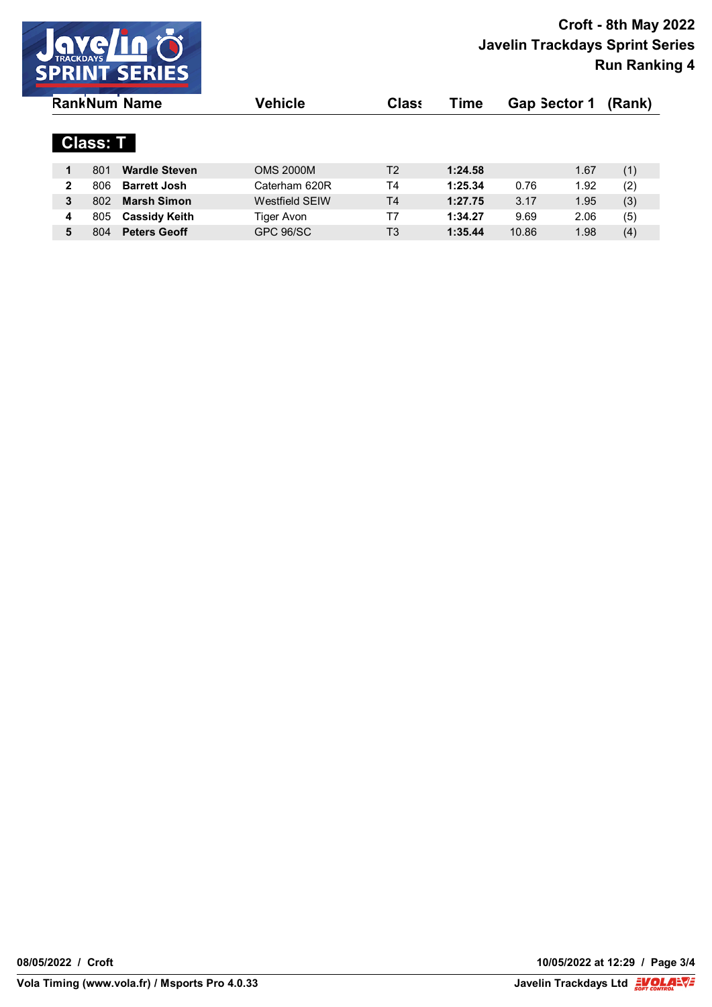

| <b>RankNum Name</b> |                 |                      | Vehicle               | <b>Class</b>   | Time    | <b>Gap Sector 1</b> |      | (Rank) |
|---------------------|-----------------|----------------------|-----------------------|----------------|---------|---------------------|------|--------|
|                     | <b>Class: T</b> |                      |                       |                |         |                     |      |        |
| 1                   | 801             | <b>Wardle Steven</b> | <b>OMS 2000M</b>      | T2             | 1:24.58 |                     | 1.67 | (1)    |
| $\mathbf{2}$        | 806             | <b>Barrett Josh</b>  | Caterham 620R         | T4             | 1:25.34 | 0.76                | 1.92 | (2)    |
| 3                   | 802             | <b>Marsh Simon</b>   | <b>Westfield SEIW</b> | T <sub>4</sub> | 1:27.75 | 3.17                | 1.95 | (3)    |
| 4                   | 805             | <b>Cassidy Keith</b> | Tiger Avon            | Τ7             | 1:34.27 | 9.69                | 2.06 | (5)    |
| 5                   | 804             | <b>Peters Geoff</b>  | GPC 96/SC             | T <sub>3</sub> | 1:35.44 | 10.86               | 1.98 | (4)    |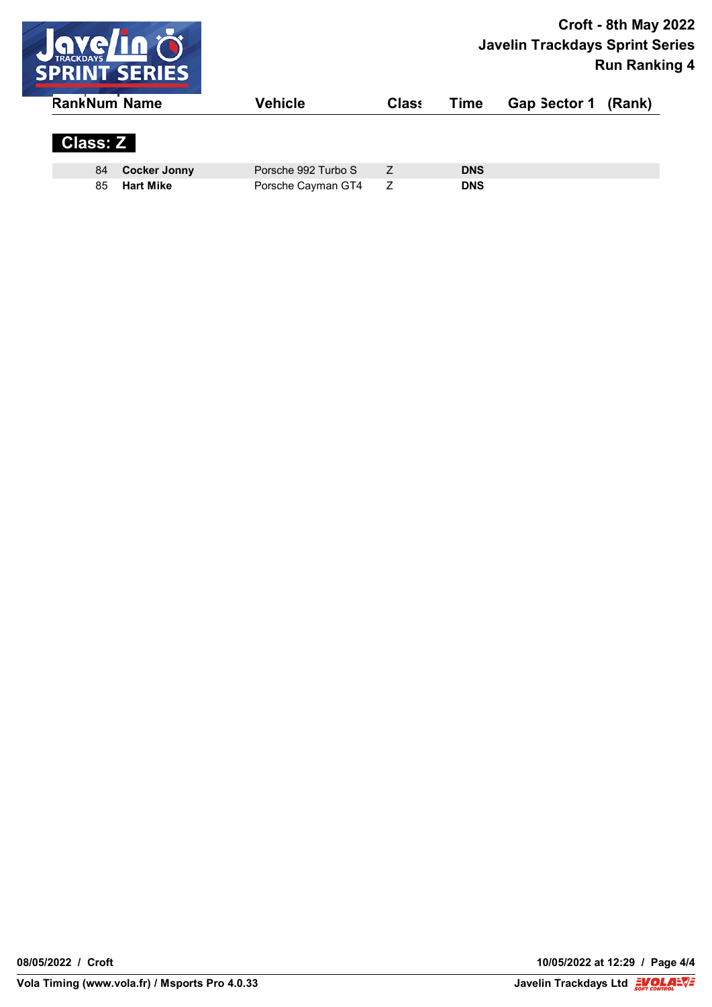

| <b>RankNum Name</b> |                     | Vehicle             | <b>Class</b> | Time       | Gap Sector 1 (Rank) |  |
|---------------------|---------------------|---------------------|--------------|------------|---------------------|--|
| <b>Class: Z</b>     |                     |                     |              |            |                     |  |
| 84                  | <b>Cocker Jonny</b> | Porsche 992 Turbo S |              | <b>DNS</b> |                     |  |
| 85                  | <b>Hart Mike</b>    | Porsche Cayman GT4  |              | <b>DNS</b> |                     |  |

**08/05/2022 / Croft 10/05/2022 at 12:29 / Page 4/4**

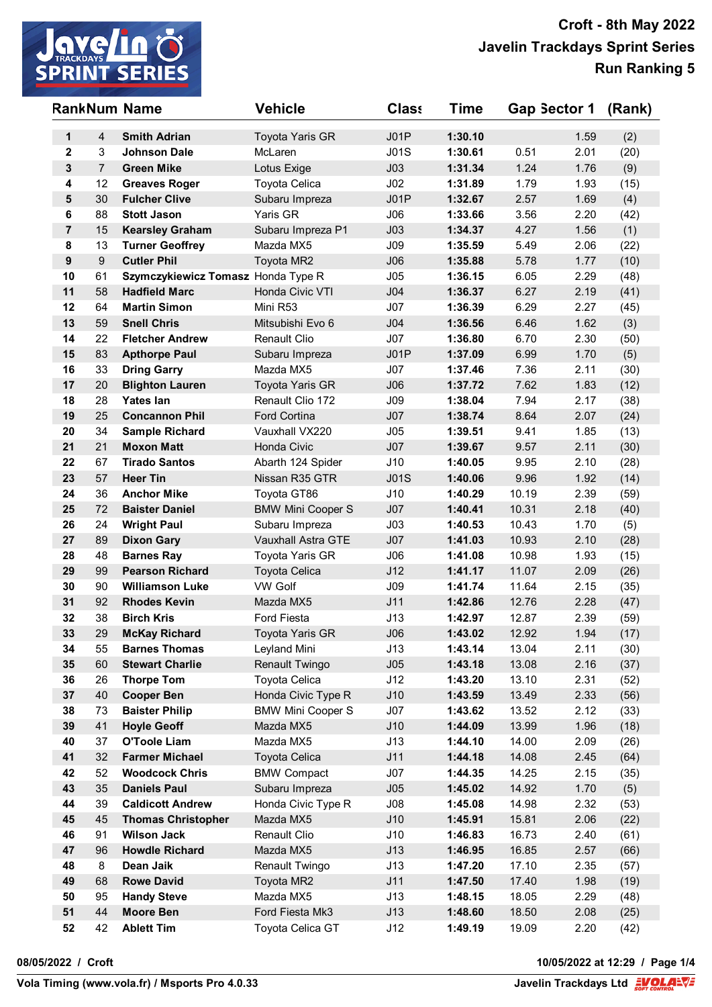

| <b>RankNum Name</b> |                  |                                                | <b>Vehicle</b>            | <b>Class</b>    | Time               | Gap Sector 1   |              | (Rank) |
|---------------------|------------------|------------------------------------------------|---------------------------|-----------------|--------------------|----------------|--------------|--------|
| 1                   | 4                | <b>Smith Adrian</b>                            | <b>Toyota Yaris GR</b>    | J01P            | 1:30.10            |                | 1.59         | (2)    |
| $\mathbf{2}$        | 3                | <b>Johnson Dale</b>                            | McLaren                   | J01S            | 1:30.61            | 0.51           | 2.01         | (20)   |
| $\mathbf{3}$        | $\overline{7}$   | <b>Green Mike</b>                              | Lotus Exige               | J <sub>03</sub> | 1:31.34            | 1.24           | 1.76         | (9)    |
| 4                   | 12               | <b>Greaves Roger</b>                           | Toyota Celica             | J <sub>02</sub> | 1:31.89            | 1.79           | 1.93         | (15)   |
| 5                   | 30               | <b>Fulcher Clive</b>                           | Subaru Impreza            | JO1P            | 1:32.67            | 2.57           | 1.69         | (4)    |
| 6                   | 88               | <b>Stott Jason</b>                             | Yaris GR                  | J06             | 1:33.66            | 3.56           | 2.20         | (42)   |
| $\overline{7}$      | 15               | <b>Kearsley Graham</b>                         | Subaru Impreza P1         | J <sub>03</sub> | 1:34.37            | 4.27           | 1.56         | (1)    |
| 8                   | 13               | <b>Turner Geoffrey</b>                         | Mazda MX5                 | J09             | 1:35.59            | 5.49           | 2.06         | (22)   |
| $\boldsymbol{9}$    | $\boldsymbol{9}$ | <b>Cutler Phil</b>                             | Toyota MR2                | J06             | 1:35.88            | 5.78           | 1.77         | (10)   |
| 10                  | 61               | Szymczykiewicz Tomasz Honda Type R             |                           | J05             | 1:36.15            | 6.05           | 2.29         | (48)   |
| 11                  | 58               | <b>Hadfield Marc</b>                           | Honda Civic VTI           | J <sub>04</sub> | 1:36.37            | 6.27           | 2.19         | (41)   |
| 12                  | 64               | <b>Martin Simon</b>                            | Mini R53                  | J07             | 1:36.39            | 6.29           | 2.27         | (45)   |
| 13                  | 59               | <b>Snell Chris</b>                             | Mitsubishi Evo 6          | J <sub>04</sub> | 1:36.56            | 6.46           | 1.62         | (3)    |
| 14                  | 22               | <b>Fletcher Andrew</b>                         | <b>Renault Clio</b>       | J07             | 1:36.80            | 6.70           | 2.30         | (50)   |
| 15                  | 83               | <b>Apthorpe Paul</b>                           | Subaru Impreza            | J01P            | 1:37.09            | 6.99           | 1.70         | (5)    |
| 16                  | 33               | <b>Dring Garry</b>                             | Mazda MX5                 | J07             | 1:37.46            | 7.36           | 2.11         | (30)   |
| 17                  | 20               | <b>Blighton Lauren</b>                         | Toyota Yaris GR           | J06             | 1:37.72            | 7.62           | 1.83         | (12)   |
| 18                  | 28               | <b>Yates lan</b>                               | Renault Clio 172          | J09             | 1:38.04            | 7.94           | 2.17         | (38)   |
| 19                  | 25               | <b>Concannon Phil</b>                          | Ford Cortina              | J07             | 1:38.74            | 8.64           | 2.07         | (24)   |
| 20                  | 34               | <b>Sample Richard</b>                          | Vauxhall VX220            | J05             | 1:39.51            | 9.41           | 1.85         | (13)   |
| 21                  | 21               | <b>Moxon Matt</b>                              | Honda Civic               | J07             | 1:39.67            | 9.57           | 2.11         | (30)   |
| 22                  | 67               | <b>Tirado Santos</b>                           | Abarth 124 Spider         | J10             | 1:40.05            | 9.95           | 2.10         | (28)   |
| 23                  | 57               | <b>Heer Tin</b>                                | Nissan R35 GTR            | <b>J01S</b>     | 1:40.06            | 9.96           | 1.92         | (14)   |
| 24                  | 36               | <b>Anchor Mike</b>                             | Toyota GT86               | J10             | 1:40.29            | 10.19          | 2.39         | (59)   |
| 25                  | 72               | <b>Baister Daniel</b>                          | <b>BMW Mini Cooper S</b>  | J07             | 1:40.41            | 10.31          | 2.18         | (40)   |
| 26                  | 24               | <b>Wright Paul</b>                             | Subaru Impreza            | J03             | 1:40.53            | 10.43          | 1.70         | (5)    |
| 27                  | 89               | <b>Dixon Gary</b>                              | <b>Vauxhall Astra GTE</b> | J07             | 1:41.03            | 10.93          | 2.10         | (28)   |
| 28                  | 48               | <b>Barnes Ray</b>                              | Toyota Yaris GR           | J06             | 1:41.08            | 10.98          | 1.93         | (15)   |
| 29                  | 99               | <b>Pearson Richard</b>                         | <b>Toyota Celica</b>      | J12             | 1:41.17            | 11.07          | 2.09         | (26)   |
| 30                  | 90               | <b>Williamson Luke</b>                         | <b>VW Golf</b>            | J09             | 1:41.74            | 11.64          | 2.15         | (35)   |
| 31                  | 92               | <b>Rhodes Kevin</b>                            | Mazda MX5                 | J11             | 1:42.86            | 12.76          | 2.28         | (47)   |
| 32                  | 38               | <b>Birch Kris</b>                              | <b>Ford Fiesta</b>        | J13             | 1:42.97            | 12.87          | 2.39         | (59)   |
| 33                  | 29               | <b>McKay Richard</b>                           | <b>Toyota Yaris GR</b>    | J06             | 1:43.02            | 12.92          | 1.94         | (17)   |
| 34                  | 55               | <b>Barnes Thomas</b>                           | Leyland Mini              | J13             | 1:43.14            | 13.04          | 2.11         | (30)   |
| 35                  | 60               | <b>Stewart Charlie</b>                         | Renault Twingo            | J05             | 1:43.18            | 13.08          | 2.16         | (37)   |
| 36                  | 26               | <b>Thorpe Tom</b>                              | Toyota Celica             | J12             | 1:43.20            | 13.10          | 2.31         | (52)   |
| 37                  | 40               | <b>Cooper Ben</b>                              | Honda Civic Type R        | J10             | 1:43.59            | 13.49          | 2.33         | (56)   |
| 38                  | 73               | <b>Baister Philip</b>                          | <b>BMW Mini Cooper S</b>  | J07             | 1:43.62            | 13.52          | 2.12         | (33)   |
| 39                  | 41               | <b>Hoyle Geoff</b>                             | Mazda MX5                 | J10             | 1:44.09            | 13.99          | 1.96         | (18)   |
| 40                  | 37               | <b>O'Toole Liam</b>                            | Mazda MX5                 | J13             | 1:44.10            | 14.00          | 2.09         | (26)   |
| 41                  | 32               | <b>Farmer Michael</b><br><b>Woodcock Chris</b> | <b>Toyota Celica</b>      | J11             | 1:44.18            | 14.08          | 2.45         | (64)   |
| 42                  | 52               |                                                | <b>BMW Compact</b>        | J07             | 1:44.35            | 14.25          | 2.15         | (35)   |
| 43                  | 35               | <b>Daniels Paul</b>                            | Subaru Impreza            | J05             | 1:45.02            | 14.92          | 1.70         | (5)    |
| 44                  | 39               | <b>Caldicott Andrew</b>                        | Honda Civic Type R        | J08             | 1:45.08            | 14.98          | 2.32         | (53)   |
| 45<br>46            | 45<br>91         | <b>Thomas Christopher</b>                      | Mazda MX5                 | J10             | 1:45.91            | 15.81          | 2.06         | (22)   |
| 47                  | 96               | <b>Wilson Jack</b>                             | Renault Clio              | J10<br>J13      | 1:46.83            | 16.73          | 2.40         | (61)   |
|                     |                  | <b>Howdle Richard</b>                          | Mazda MX5                 |                 | 1:46.95            | 16.85          | 2.57         | (66)   |
| 48<br>49            | 8                | Dean Jaik                                      | Renault Twingo            | J13<br>J11      | 1:47.20            | 17.10          | 2.35         | (57)   |
| 50                  | 68               | <b>Rowe David</b>                              | Toyota MR2<br>Mazda MX5   | J13             | 1:47.50<br>1:48.15 | 17.40<br>18.05 | 1.98         | (19)   |
| 51                  | 95<br>44         | <b>Handy Steve</b>                             |                           |                 | 1:48.60            |                | 2.29         | (48)   |
| 52                  | 42               | <b>Moore Ben</b><br><b>Ablett Tim</b>          | Ford Fiesta Mk3           | J13             | 1:49.19            | 18.50<br>19.09 | 2.08<br>2.20 | (25)   |
|                     |                  |                                                | Toyota Celica GT          | J12             |                    |                |              | (42)   |

**08/05/2022 / Croft 10/05/2022 at 12:29 / Page 1/4**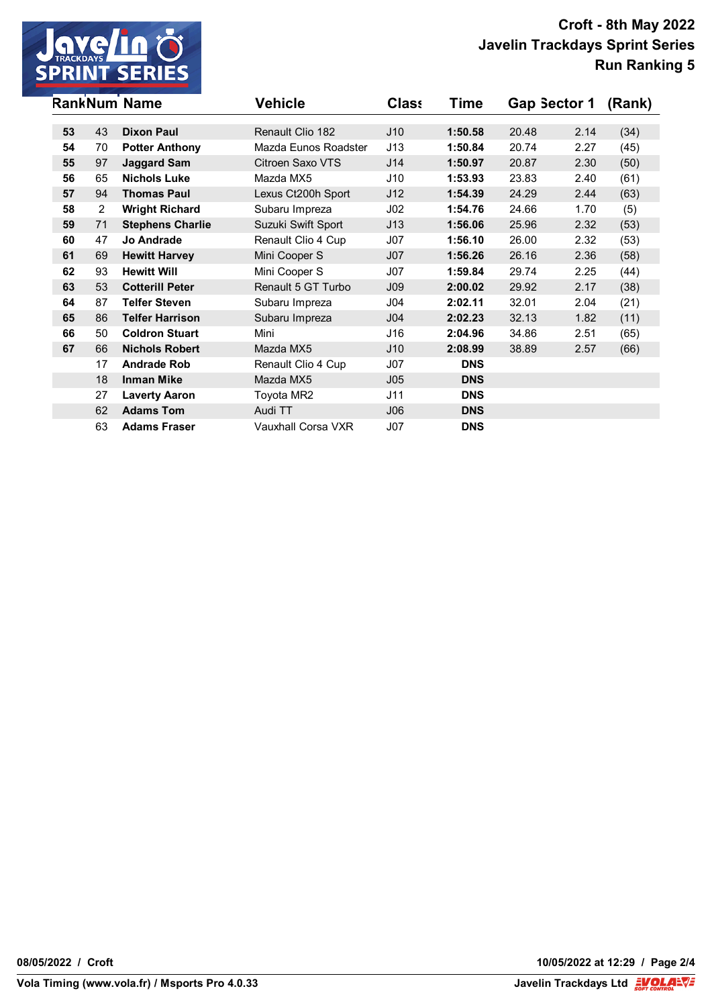

|    |                | <b>RankNum Name</b>     | <b>Vehicle</b>       | <b>Class</b>    | Time       | Gap Sector 1 |      | (Rank) |
|----|----------------|-------------------------|----------------------|-----------------|------------|--------------|------|--------|
| 53 |                | <b>Dixon Paul</b>       | Renault Clio 182     |                 |            |              |      |        |
|    | 43             |                         |                      | J10             | 1:50.58    | 20.48        | 2.14 | (34)   |
| 54 | 70             | <b>Potter Anthony</b>   | Mazda Eunos Roadster | J13             | 1:50.84    | 20.74        | 2.27 | (45)   |
| 55 | 97             | <b>Jaggard Sam</b>      | Citroen Saxo VTS     | J14             | 1:50.97    | 20.87        | 2.30 | (50)   |
| 56 | 65             | <b>Nichols Luke</b>     | Mazda MX5            | J10             | 1:53.93    | 23.83        | 2.40 | (61)   |
| 57 | 94             | <b>Thomas Paul</b>      | Lexus Ct200h Sport   | J12             | 1:54.39    | 24.29        | 2.44 | (63)   |
| 58 | $\overline{2}$ | <b>Wright Richard</b>   | Subaru Impreza       | J <sub>02</sub> | 1:54.76    | 24.66        | 1.70 | (5)    |
| 59 | 71             | <b>Stephens Charlie</b> | Suzuki Swift Sport   | J13             | 1:56.06    | 25.96        | 2.32 | (53)   |
| 60 | 47             | <b>Jo Andrade</b>       | Renault Clio 4 Cup   | J07             | 1:56.10    | 26.00        | 2.32 | (53)   |
| 61 | 69             | <b>Hewitt Harvey</b>    | Mini Cooper S        | J07             | 1:56.26    | 26.16        | 2.36 | (58)   |
| 62 | 93             | <b>Hewitt Will</b>      | Mini Cooper S        | J07             | 1:59.84    | 29.74        | 2.25 | (44)   |
| 63 | 53             | <b>Cotterill Peter</b>  | Renault 5 GT Turbo   | J <sub>09</sub> | 2:00.02    | 29.92        | 2.17 | (38)   |
| 64 | 87             | <b>Telfer Steven</b>    | Subaru Impreza       | J04             | 2:02.11    | 32.01        | 2.04 | (21)   |
| 65 | 86             | <b>Telfer Harrison</b>  | Subaru Impreza       | J <sub>04</sub> | 2:02.23    | 32.13        | 1.82 | (11)   |
| 66 | 50             | <b>Coldron Stuart</b>   | Mini                 | J16             | 2:04.96    | 34.86        | 2.51 | (65)   |
| 67 | 66             | <b>Nichols Robert</b>   | Mazda MX5            | J10             | 2:08.99    | 38.89        | 2.57 | (66)   |
|    | 17             | <b>Andrade Rob</b>      | Renault Clio 4 Cup   | J07             | <b>DNS</b> |              |      |        |
|    | 18             | <b>Inman Mike</b>       | Mazda MX5            | J <sub>05</sub> | <b>DNS</b> |              |      |        |
|    | 27             | <b>Laverty Aaron</b>    | Toyota MR2           | J11             | <b>DNS</b> |              |      |        |
|    | 62             | <b>Adams Tom</b>        | Audi TT              | J06             | <b>DNS</b> |              |      |        |
|    | 63             | <b>Adams Fraser</b>     | Vauxhall Corsa VXR   | J07             | <b>DNS</b> |              |      |        |

**08/05/2022 / Croft 10/05/2022 at 12:29 / Page 2/4**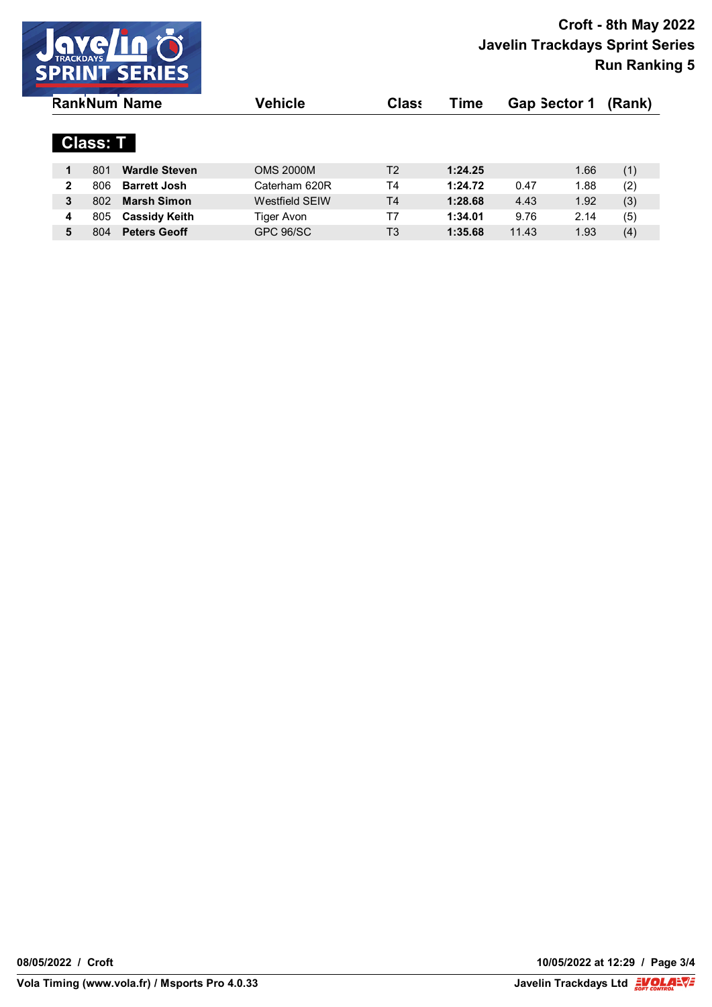

| <b>RankNum Name</b> |                 |                      | Vehicle               | <b>Class</b>   | Time    | <b>Gap Sector 1</b> |      | (Rank) |
|---------------------|-----------------|----------------------|-----------------------|----------------|---------|---------------------|------|--------|
|                     | <b>Class: T</b> |                      |                       |                |         |                     |      |        |
| 1                   | 801             | <b>Wardle Steven</b> | <b>OMS 2000M</b>      | T2             | 1:24.25 |                     | 1.66 | (1)    |
| $\mathbf{2}$        | 806             | <b>Barrett Josh</b>  | Caterham 620R         | T4             | 1:24.72 | 0.47                | 1.88 | (2)    |
| 3                   | 802             | <b>Marsh Simon</b>   | <b>Westfield SEIW</b> | T <sub>4</sub> | 1:28.68 | 4.43                | 1.92 | (3)    |
| 4                   | 805             | <b>Cassidy Keith</b> | Tiger Avon            | Τ7             | 1:34.01 | 9.76                | 2.14 | (5)    |
| 5                   | 804             | <b>Peters Geoff</b>  | GPC 96/SC             | T <sub>3</sub> | 1:35.68 | 11.43               | 1.93 | (4)    |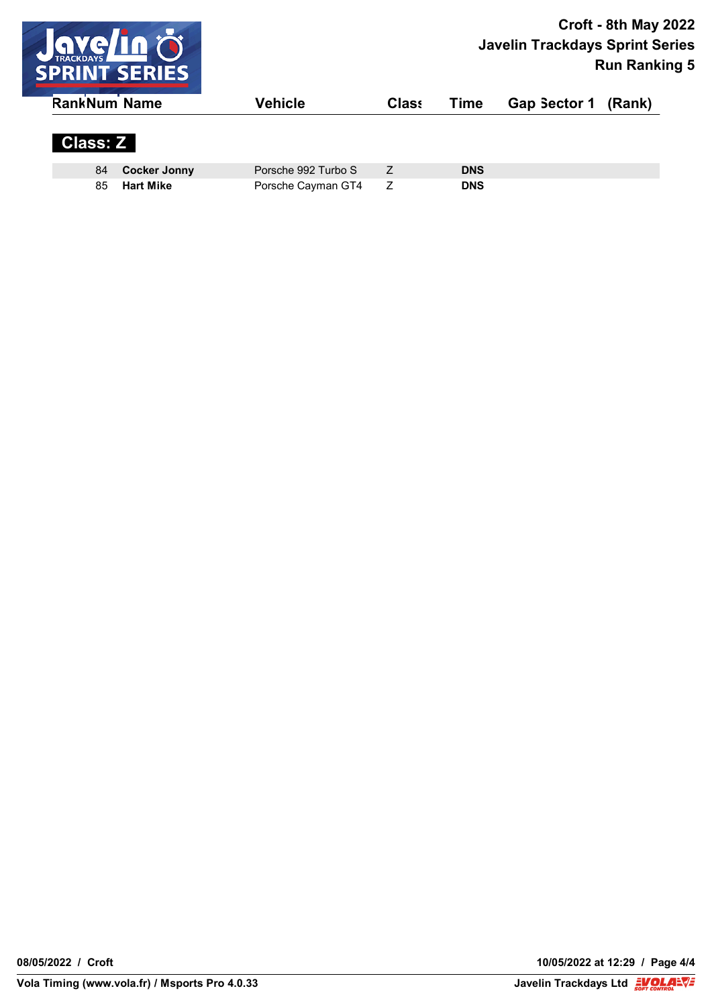

| <b>RankNum Name</b> |                     | Vehicle             | <b>Class</b> | Time       | Gap Sector 1 (Rank) |  |
|---------------------|---------------------|---------------------|--------------|------------|---------------------|--|
| <b>Class: Z</b>     |                     |                     |              |            |                     |  |
| 84                  | <b>Cocker Jonny</b> | Porsche 992 Turbo S |              | <b>DNS</b> |                     |  |
| 85                  | <b>Hart Mike</b>    | Porsche Cayman GT4  |              | <b>DNS</b> |                     |  |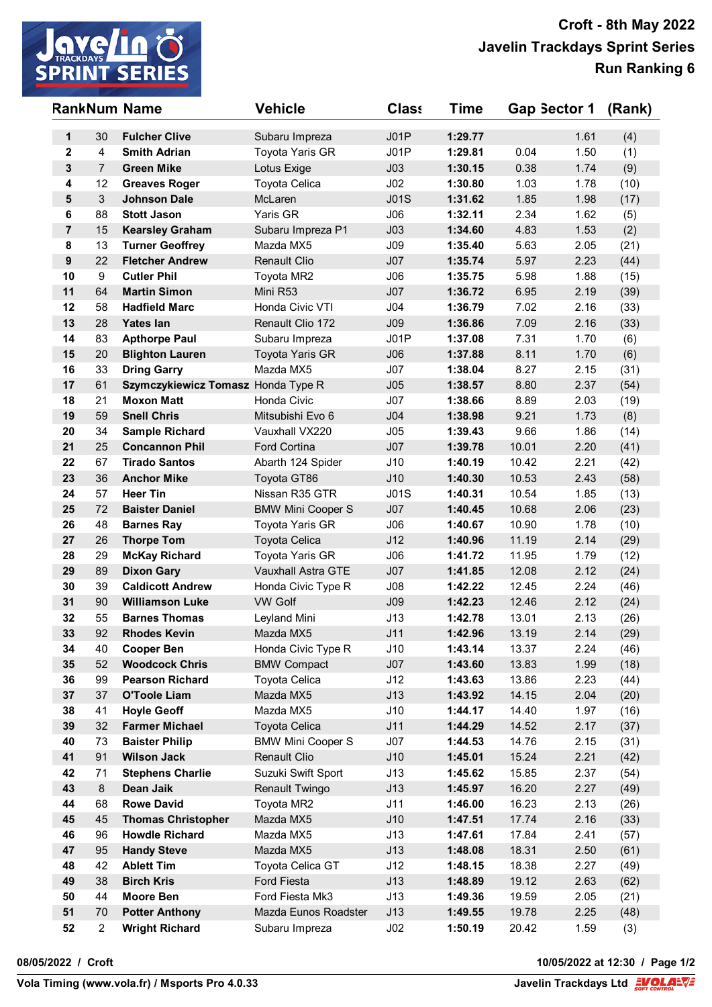

|                  |                | <b>RankNum Name</b>                   | <b>Vehicle</b>                | <b>Class</b>    | <b>Time</b>        | Gap Sector 1   |              | (Rank)       |
|------------------|----------------|---------------------------------------|-------------------------------|-----------------|--------------------|----------------|--------------|--------------|
| 1                | 30             | <b>Fulcher Clive</b>                  | Subaru Impreza                | JO1P            | 1:29.77            |                | 1.61         | (4)          |
| $\mathbf{2}$     | 4              | <b>Smith Adrian</b>                   | Toyota Yaris GR               | J01P            | 1:29.81            | 0.04           | 1.50         | (1)          |
| $\mathbf{3}$     | $\overline{7}$ | <b>Green Mike</b>                     | Lotus Exige                   | J <sub>03</sub> | 1:30.15            | 0.38           | 1.74         | (9)          |
| 4                | 12             | <b>Greaves Roger</b>                  | Toyota Celica                 | J <sub>02</sub> | 1:30.80            | 1.03           | 1.78         | (10)         |
| 5                | $\mathfrak{S}$ | <b>Johnson Dale</b>                   | McLaren                       | J01S            | 1:31.62            | 1.85           | 1.98         | (17)         |
| 6                | 88             | <b>Stott Jason</b>                    | Yaris GR                      | J06             | 1:32.11            | 2.34           | 1.62         | (5)          |
| $\overline{7}$   | 15             | <b>Kearsley Graham</b>                | Subaru Impreza P1             | J <sub>03</sub> | 1:34.60            | 4.83           | 1.53         | (2)          |
| 8                | 13             | <b>Turner Geoffrey</b>                | Mazda MX5                     | J09             | 1:35.40            | 5.63           | 2.05         | (21)         |
| $\boldsymbol{9}$ | 22             | <b>Fletcher Andrew</b>                | <b>Renault Clio</b>           | J07             | 1:35.74            | 5.97           | 2.23         | (44)         |
| 10               | 9              | <b>Cutler Phil</b>                    | Toyota MR2                    | J06             | 1:35.75            | 5.98           | 1.88         | (15)         |
| 11               | 64             | <b>Martin Simon</b>                   | Mini R53                      | J07             | 1:36.72            | 6.95           | 2.19         | (39)         |
| 12               | 58             | <b>Hadfield Marc</b>                  | Honda Civic VTI               | J04             | 1:36.79            | 7.02           | 2.16         | (33)         |
| 13               | 28             | <b>Yates lan</b>                      | Renault Clio 172              | J <sub>09</sub> | 1:36.86            | 7.09           | 2.16         | (33)         |
| 14               | 83             | <b>Apthorpe Paul</b>                  | Subaru Impreza                | J01P            | 1:37.08            | 7.31           | 1.70         | (6)          |
| 15               | 20             | <b>Blighton Lauren</b>                | <b>Toyota Yaris GR</b>        | J06             | 1:37.88            | 8.11           | 1.70         | (6)          |
| 16               | 33             | <b>Dring Garry</b>                    | Mazda MX5                     | J07             | 1:38.04            | 8.27           | 2.15         | (31)         |
| 17               | 61             | Szymczykiewicz Tomasz Honda Type R    |                               | J05             | 1:38.57            | 8.80           | 2.37         | (54)         |
| 18               | 21             | <b>Moxon Matt</b>                     | Honda Civic                   | J07             | 1:38.66            | 8.89           | 2.03         | (19)         |
| 19               | 59             | <b>Snell Chris</b>                    | Mitsubishi Evo 6              | J <sub>04</sub> | 1:38.98            | 9.21           | 1.73         | (8)          |
| 20               | 34             | <b>Sample Richard</b>                 | Vauxhall VX220                | J05             | 1:39.43            | 9.66           | 1.86         | (14)         |
| 21               | 25             | <b>Concannon Phil</b>                 | Ford Cortina                  | J07             | 1:39.78            | 10.01          | 2.20         | (41)         |
| 22<br>23         | 67<br>36       | <b>Tirado Santos</b>                  | Abarth 124 Spider             | J10             | 1:40.19            | 10.42          | 2.21<br>2.43 | (42)         |
| 24               | 57             | <b>Anchor Mike</b><br><b>Heer Tin</b> | Toyota GT86<br>Nissan R35 GTR | J10<br>J01S     | 1:40.30<br>1:40.31 | 10.53<br>10.54 | 1.85         | (58)         |
| 25               | 72             | <b>Baister Daniel</b>                 | <b>BMW Mini Cooper S</b>      | J07             | 1:40.45            | 10.68          | 2.06         | (13)<br>(23) |
| 26               | 48             | <b>Barnes Ray</b>                     | Toyota Yaris GR               | J06             | 1:40.67            | 10.90          | 1.78         | (10)         |
| 27               | 26             | <b>Thorpe Tom</b>                     | Toyota Celica                 | J12             | 1:40.96            | 11.19          | 2.14         | (29)         |
| 28               | 29             | <b>McKay Richard</b>                  | Toyota Yaris GR               | J06             | 1:41.72            | 11.95          | 1.79         | (12)         |
| 29               | 89             | <b>Dixon Gary</b>                     | Vauxhall Astra GTE            | J07             | 1:41.85            | 12.08          | 2.12         | (24)         |
| 30               | 39             | <b>Caldicott Andrew</b>               | Honda Civic Type R            | J08             | 1:42.22            | 12.45          | 2.24         | (46)         |
| 31               | 90             | <b>Williamson Luke</b>                | <b>VW Golf</b>                | J <sub>09</sub> | 1:42.23            | 12.46          | 2.12         | (24)         |
| 32               | 55             | <b>Barnes Thomas</b>                  | Leyland Mini                  | J13             | 1:42.78            | 13.01          | 2.13         | (26)         |
| 33               | 92             | Rhodes Kevin                          | Mazda MX5                     | J11             | 1:42.96            | 13.19          | 2.14         | (29)         |
| 34               | 40             | <b>Cooper Ben</b>                     | Honda Civic Type R            | J10             | 1:43.14            | 13.37          | 2.24         | (46)         |
| 35               | 52             | <b>Woodcock Chris</b>                 | <b>BMW Compact</b>            | J07             | 1:43.60            | 13.83          | 1.99         | (18)         |
| 36               | 99             | <b>Pearson Richard</b>                | Toyota Celica                 | J12             | 1:43.63            | 13.86          | 2.23         | (44)         |
| 37               | 37             | <b>O'Toole Liam</b>                   | Mazda MX5                     | J13             | 1:43.92            | 14.15          | 2.04         | (20)         |
| 38               | 41             | <b>Hoyle Geoff</b>                    | Mazda MX5                     | J10             | 1:44.17            | 14.40          | 1.97         | (16)         |
| 39               | 32             | <b>Farmer Michael</b>                 | <b>Toyota Celica</b>          | J11             | 1:44.29            | 14.52          | 2.17         | (37)         |
| 40               | 73             | <b>Baister Philip</b>                 | <b>BMW Mini Cooper S</b>      | J07             | 1:44.53            | 14.76          | 2.15         | (31)         |
| 41               | 91             | <b>Wilson Jack</b>                    | <b>Renault Clio</b>           | J10             | 1:45.01            | 15.24          | 2.21         | (42)         |
| 42               | 71             | <b>Stephens Charlie</b>               | Suzuki Swift Sport            | J13             | 1:45.62            | 15.85          | 2.37         | (54)         |
| 43               | 8              | Dean Jaik                             | Renault Twingo                | J13             | 1:45.97            | 16.20          | 2.27         | (49)         |
| 44               | 68             | <b>Rowe David</b>                     | Toyota MR2                    | J11             | 1:46.00            | 16.23          | 2.13         | (26)         |
| 45               | 45             | <b>Thomas Christopher</b>             | Mazda MX5                     | J10             | 1:47.51            | 17.74          | 2.16         | (33)         |
| 46               | 96             | <b>Howdle Richard</b>                 | Mazda MX5                     | J13             | 1:47.61            | 17.84          | 2.41         | (57)         |
| 47               | 95             | <b>Handy Steve</b>                    | Mazda MX5                     | J13             | 1:48.08            | 18.31          | 2.50         | (61)         |
| 48               | 42             | <b>Ablett Tim</b>                     | Toyota Celica GT              | J12             | 1:48.15            | 18.38          | 2.27         | (49)         |
| 49               | 38             | <b>Birch Kris</b>                     | <b>Ford Fiesta</b>            | J13             | 1:48.89            | 19.12          | 2.63         | (62)         |
| 50               | 44             | Moore Ben                             | Ford Fiesta Mk3               | J13             | 1:49.36            | 19.59          | 2.05         | (21)         |
| 51               | 70             | <b>Potter Anthony</b>                 | Mazda Eunos Roadster          | J13             | 1:49.55            | 19.78          | 2.25         | (48)         |
| 52               | $\overline{2}$ | <b>Wright Richard</b>                 | Subaru Impreza                | J <sub>02</sub> | 1:50.19            | 20.42          | 1.59         | (3)          |

**08/05/2022 / Croft 10/05/2022 at 12:30 / Page 1/2**